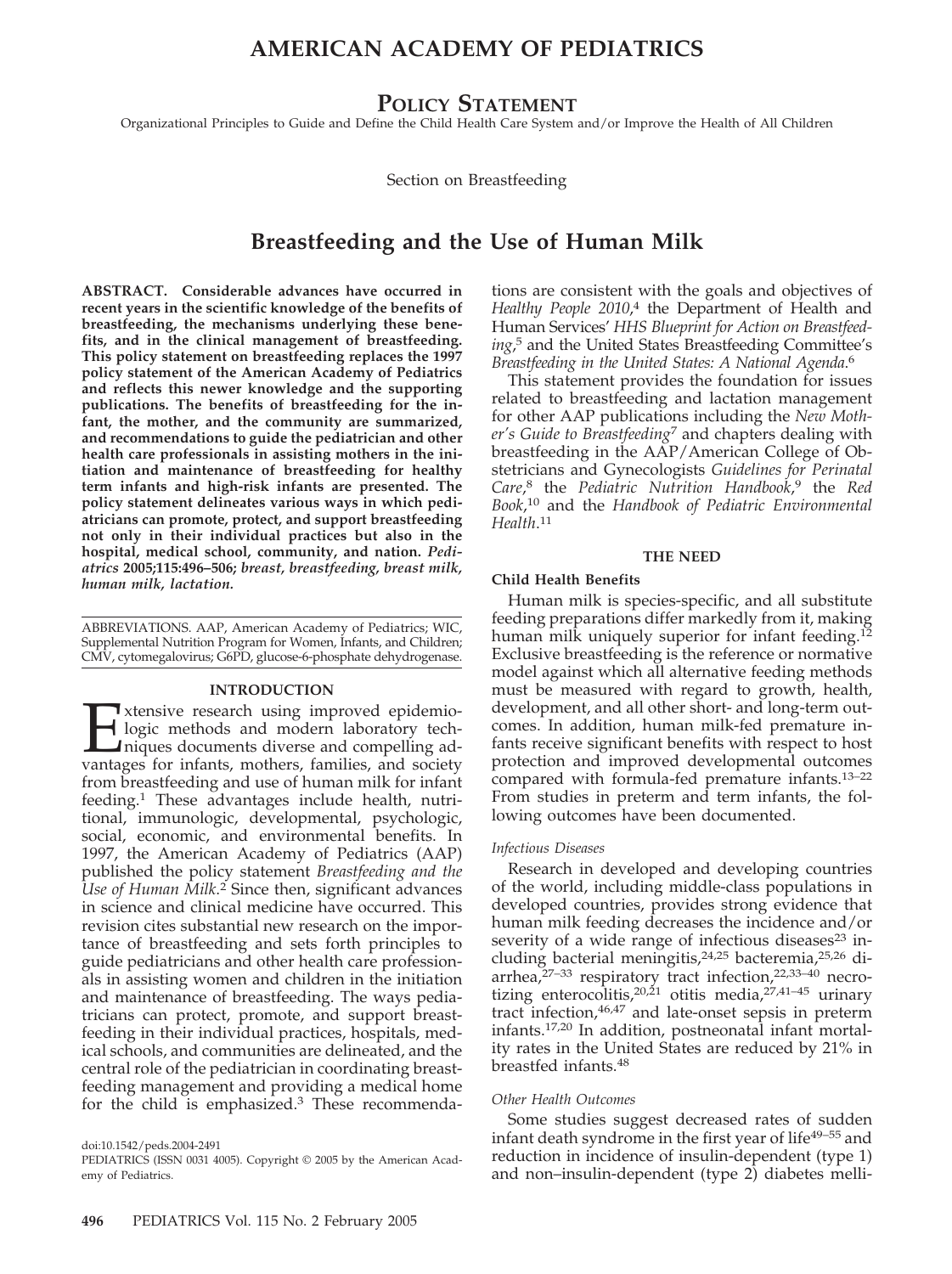# **AMERICAN ACADEMY OF PEDIATRICS**

# **POLICY STATEMENT**

Organizational Principles to Guide and Define the Child Health Care System and/or Improve the Health of All Children

Section on Breastfeeding

# **Breastfeeding and the Use of Human Milk**

**ABSTRACT. Considerable advances have occurred in recent years in the scientific knowledge of the benefits of breastfeeding, the mechanisms underlying these benefits, and in the clinical management of breastfeeding. This policy statement on breastfeeding replaces the 1997 policy statement of the American Academy of Pediatrics and reflects this newer knowledge and the supporting publications. The benefits of breastfeeding for the infant, the mother, and the community are summarized, and recommendations to guide the pediatrician and other health care professionals in assisting mothers in the initiation and maintenance of breastfeeding for healthy term infants and high-risk infants are presented. The policy statement delineates various ways in which pediatricians can promote, protect, and support breastfeeding not only in their individual practices but also in the hospital, medical school, community, and nation.** *Pediatrics* **2005;115:496–506;** *breast, breastfeeding, breast milk, human milk, lactation.*

ABBREVIATIONS. AAP, American Academy of Pediatrics; WIC, Supplemental Nutrition Program for Women, Infants, and Children; CMV, cytomegalovirus; G6PD, glucose-6-phosphate dehydrogenase.

#### **INTRODUCTION**

**Extensive research using improved epidemio-**<br>logic methods and modern laboratory techniques documents diverse and compelling advantages for infants, mothers, families, and society logic methods and modern laboratory techniques documents diverse and compelling advantages for infants, mothers, families, and society from breastfeeding and use of human milk for infant feeding.1 These advantages include health, nutritional, immunologic, developmental, psychologic, social, economic, and environmental benefits. In 1997, the American Academy of Pediatrics (AAP) published the policy statement *Breastfeeding and the Use of Human Milk*. <sup>2</sup> Since then, significant advances in science and clinical medicine have occurred. This revision cites substantial new research on the importance of breastfeeding and sets forth principles to guide pediatricians and other health care professionals in assisting women and children in the initiation and maintenance of breastfeeding. The ways pediatricians can protect, promote, and support breastfeeding in their individual practices, hospitals, medical schools, and communities are delineated, and the central role of the pediatrician in coordinating breastfeeding management and providing a medical home for the child is emphasized.3 These recommenda-

doi:10.1542/peds.2004-2491

PEDIATRICS (ISSN 0031 4005). Copyright © 2005 by the American Academy of Pediatrics.

tions are consistent with the goals and objectives of *Healthy People 2010*, <sup>4</sup> the Department of Health and Human Services' *HHS Blueprint for Action on Breastfeeding*, <sup>5</sup> and the United States Breastfeeding Committee's *Breastfeeding in the United States: A National Agenda*. 6

This statement provides the foundation for issues related to breastfeeding and lactation management for other AAP publications including the *New Mother's Guide to Breastfeeding*<sup>7</sup> and chapters dealing with breastfeeding in the AAP/American College of Obstetricians and Gynecologists *Guidelines for Perinatal Care*, <sup>8</sup> the *Pediatric Nutrition Handbook*, <sup>9</sup> the *Red Book*, <sup>10</sup> and the *Handbook of Pediatric Environmental Health*. 11

#### **THE NEED**

#### **Child Health Benefits**

Human milk is species-specific, and all substitute feeding preparations differ markedly from it, making human milk uniquely superior for infant feeding.<sup>12</sup> Exclusive breastfeeding is the reference or normative model against which all alternative feeding methods must be measured with regard to growth, health, development, and all other short- and long-term outcomes. In addition, human milk-fed premature infants receive significant benefits with respect to host protection and improved developmental outcomes compared with formula-fed premature infants.13–22 From studies in preterm and term infants, the following outcomes have been documented.

#### *Infectious Diseases*

Research in developed and developing countries of the world, including middle-class populations in developed countries, provides strong evidence that human milk feeding decreases the incidence and/or severity of a wide range of infectious diseases $23$  including bacterial meningitis,<sup>24,25</sup> bacteremia,<sup>25,26</sup> diarrhea,<sup>27–33</sup> respiratory tract infection,<sup>22,33–40</sup> necrotizing enterocolitis,<sup>20,21</sup> otitis media,<sup>27,41–45</sup> urinary tract infection, <sup>46,47</sup> and late-onset sepsis in preterm infants.17,20 In addition, postneonatal infant mortality rates in the United States are reduced by 21% in breastfed infants.48

#### *Other Health Outcomes*

Some studies suggest decreased rates of sudden infant death syndrome in the first year of life<sup>49–55</sup> and reduction in incidence of insulin-dependent (type 1) and non–insulin-dependent (type 2) diabetes melli-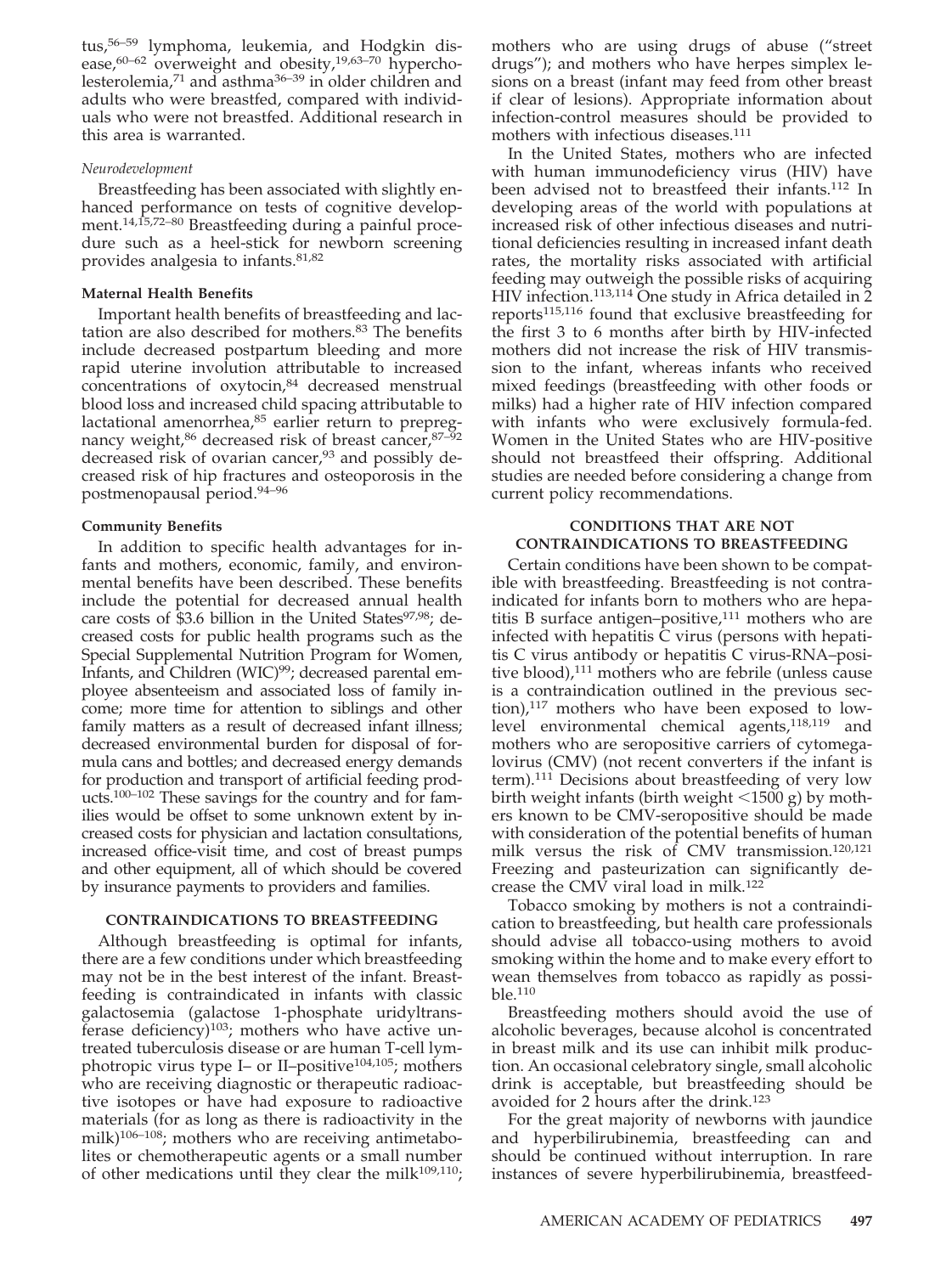tus,56–59 lymphoma, leukemia, and Hodgkin disease, $60-62$  overweight and obesity, $19,63-70$  hypercholesterolemia,71 and asthma36–39 in older children and adults who were breastfed, compared with individuals who were not breastfed. Additional research in this area is warranted.

#### *Neurodevelopment*

Breastfeeding has been associated with slightly enhanced performance on tests of cognitive development.14,15,72–80 Breastfeeding during a painful procedure such as a heel-stick for newborn screening provides analgesia to infants.81,82

#### **Maternal Health Benefits**

Important health benefits of breastfeeding and lactation are also described for mothers.<sup>83</sup> The benefits include decreased postpartum bleeding and more rapid uterine involution attributable to increased concentrations of oxytocin,<sup>84</sup> decreased menstrual blood loss and increased child spacing attributable to lactational amenorrhea,<sup>85</sup> earlier return to prepregnancy weight,<sup>86</sup> decreased risk of breast cancer, 87-92 decreased risk of ovarian cancer,<sup>93</sup> and possibly decreased risk of hip fractures and osteoporosis in the postmenopausal period.94–96

#### **Community Benefits**

In addition to specific health advantages for infants and mothers, economic, family, and environmental benefits have been described. These benefits include the potential for decreased annual health care costs of  $$3.6$  billion in the United States<sup>97,98</sup>; decreased costs for public health programs such as the Special Supplemental Nutrition Program for Women, Infants, and Children (WIC)<sup>99</sup>; decreased parental employee absenteeism and associated loss of family income; more time for attention to siblings and other family matters as a result of decreased infant illness; decreased environmental burden for disposal of formula cans and bottles; and decreased energy demands for production and transport of artificial feeding products.100–102 These savings for the country and for families would be offset to some unknown extent by increased costs for physician and lactation consultations, increased office-visit time, and cost of breast pumps and other equipment, all of which should be covered by insurance payments to providers and families.

#### **CONTRAINDICATIONS TO BREASTFEEDING**

Although breastfeeding is optimal for infants, there are a few conditions under which breastfeeding may not be in the best interest of the infant. Breastfeeding is contraindicated in infants with classic galactosemia (galactose 1-phosphate uridyltransferase deficiency) $103$ ; mothers who have active untreated tuberculosis disease or are human T-cell lymphotropic virus type I– or II–positive<sup>104,105</sup>; mothers who are receiving diagnostic or therapeutic radioactive isotopes or have had exposure to radioactive materials (for as long as there is radioactivity in the milk)<sup>106–108</sup>; mothers who are receiving antimetabolites or chemotherapeutic agents or a small number of other medications until they clear the milk $109,110$ ; mothers who are using drugs of abuse ("street drugs"); and mothers who have herpes simplex lesions on a breast (infant may feed from other breast if clear of lesions). Appropriate information about infection-control measures should be provided to mothers with infectious diseases.<sup>111</sup>

In the United States, mothers who are infected with human immunodeficiency virus (HIV) have been advised not to breastfeed their infants.112 In developing areas of the world with populations at increased risk of other infectious diseases and nutritional deficiencies resulting in increased infant death rates, the mortality risks associated with artificial feeding may outweigh the possible risks of acquiring HIV infection.<sup>113,114</sup> One study in Africa detailed in 2 reports115,116 found that exclusive breastfeeding for the first 3 to 6 months after birth by HIV-infected mothers did not increase the risk of HIV transmission to the infant, whereas infants who received mixed feedings (breastfeeding with other foods or milks) had a higher rate of HIV infection compared with infants who were exclusively formula-fed. Women in the United States who are HIV-positive should not breastfeed their offspring. Additional studies are needed before considering a change from current policy recommendations.

### **CONDITIONS THAT ARE NOT CONTRAINDICATIONS TO BREASTFEEDING**

Certain conditions have been shown to be compatible with breastfeeding. Breastfeeding is not contraindicated for infants born to mothers who are hepatitis B surface antigen–positive, $111$  mothers who are infected with hepatitis  $\overline{C}$  virus (persons with hepatitis C virus antibody or hepatitis C virus-RNA–positive blood),<sup>111</sup> mothers who are febrile (unless cause is a contraindication outlined in the previous section), $117$  mothers who have been exposed to lowlevel environmental chemical agents,<sup>118,119</sup> and mothers who are seropositive carriers of cytomegalovirus (CMV) (not recent converters if the infant is term).111 Decisions about breastfeeding of very low birth weight infants (birth weight  $\langle 1500 \text{ g} \rangle$  by mothers known to be CMV-seropositive should be made with consideration of the potential benefits of human milk versus the risk of CMV transmission.120,121 Freezing and pasteurization can significantly decrease the CMV viral load in milk.<sup>122</sup>

Tobacco smoking by mothers is not a contraindication to breastfeeding, but health care professionals should advise all tobacco-using mothers to avoid smoking within the home and to make every effort to wean themselves from tobacco as rapidly as possible.110

Breastfeeding mothers should avoid the use of alcoholic beverages, because alcohol is concentrated in breast milk and its use can inhibit milk production. An occasional celebratory single, small alcoholic drink is acceptable, but breastfeeding should be avoided for 2 hours after the drink.123

For the great majority of newborns with jaundice and hyperbilirubinemia, breastfeeding can and should be continued without interruption. In rare instances of severe hyperbilirubinemia, breastfeed-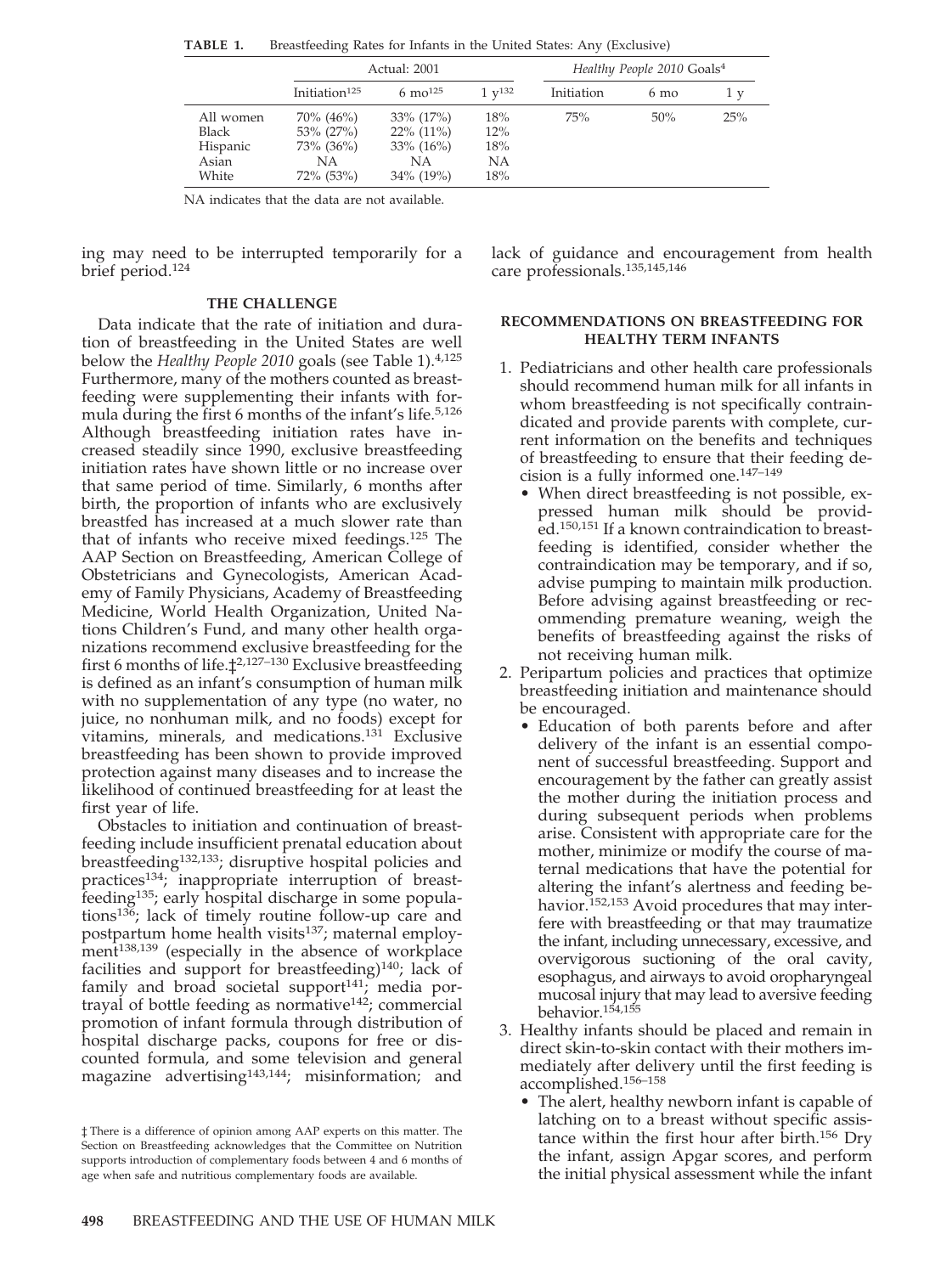|                                                         | Actual: 2001                                                              |                                                                      |                                | Healthy People 2010 Goals <sup>4</sup> |                |     |
|---------------------------------------------------------|---------------------------------------------------------------------------|----------------------------------------------------------------------|--------------------------------|----------------------------------------|----------------|-----|
|                                                         | Initiation <sup>125</sup>                                                 | 6 mo <sup>125</sup>                                                  | $1 \, \mathrm{v}^{132}$        | Initiation                             | $6 \text{ mo}$ | 1 v |
| All women<br><b>Black</b><br>Hispanic<br>Asian<br>White | $70\%$ (46%)<br>$53\%$ (27%)<br>$73\%$ (36%)<br><b>NA</b><br>$72\%$ (53%) | $33\% (17\%)$<br>$22\%$ (11%)<br>$33\% (16\%)$<br>ΝA<br>$34\%$ (19%) | 18%<br>12%<br>18%<br>NΑ<br>18% | 75%                                    | 50%            | 25% |

**TABLE 1.** Breastfeeding Rates for Infants in the United States: Any (Exclusive)

NA indicates that the data are not available.

ing may need to be interrupted temporarily for a brief period.124

#### **THE CHALLENGE**

Data indicate that the rate of initiation and duration of breastfeeding in the United States are well below the *Healthy People 2010* goals (see Table 1).4,125 Furthermore, many of the mothers counted as breastfeeding were supplementing their infants with formula during the first 6 months of the infant's life.5,126 Although breastfeeding initiation rates have increased steadily since 1990, exclusive breastfeeding initiation rates have shown little or no increase over that same period of time. Similarly, 6 months after birth, the proportion of infants who are exclusively breastfed has increased at a much slower rate than that of infants who receive mixed feedings.125 The AAP Section on Breastfeeding, American College of Obstetricians and Gynecologists, American Academy of Family Physicians, Academy of Breastfeeding Medicine, World Health Organization, United Nations Children's Fund, and many other health organizations recommend exclusive breastfeeding for the first 6 months of life.‡2,127–130 Exclusive breastfeeding is defined as an infant's consumption of human milk with no supplementation of any type (no water, no juice, no nonhuman milk, and no foods) except for vitamins, minerals, and medications.<sup>131</sup> Exclusive breastfeeding has been shown to provide improved protection against many diseases and to increase the likelihood of continued breastfeeding for at least the first year of life.

Obstacles to initiation and continuation of breastfeeding include insufficient prenatal education about breastfeeding132,133; disruptive hospital policies and practices<sup>134</sup>; inappropriate interruption of breastfeeding<sup>135</sup>; early hospital discharge in some populations136; lack of timely routine follow-up care and postpartum home health visits<sup>137</sup>; maternal employment<sup>138,139</sup> (especially in the absence of workplace facilities and support for breastfeeding) $140$ ; lack of family and broad societal support $141$ ; media portrayal of bottle feeding as normative142; commercial promotion of infant formula through distribution of hospital discharge packs, coupons for free or discounted formula, and some television and general magazine advertising<sup>143,144</sup>; misinformation; and

lack of guidance and encouragement from health care professionals.135,145,146

#### **RECOMMENDATIONS ON BREASTFEEDING FOR HEALTHY TERM INFANTS**

- 1. Pediatricians and other health care professionals should recommend human milk for all infants in whom breastfeeding is not specifically contraindicated and provide parents with complete, current information on the benefits and techniques of breastfeeding to ensure that their feeding decision is a fully informed one.147–149
	- When direct breastfeeding is not possible, expressed human milk should be provided.150,151 If a known contraindication to breastfeeding is identified, consider whether the contraindication may be temporary, and if so, advise pumping to maintain milk production. Before advising against breastfeeding or recommending premature weaning, weigh the benefits of breastfeeding against the risks of not receiving human milk.
- 2. Peripartum policies and practices that optimize breastfeeding initiation and maintenance should be encouraged.
	- Education of both parents before and after delivery of the infant is an essential component of successful breastfeeding. Support and encouragement by the father can greatly assist the mother during the initiation process and during subsequent periods when problems arise. Consistent with appropriate care for the mother, minimize or modify the course of maternal medications that have the potential for altering the infant's alertness and feeding behavior.<sup>152,153</sup> Avoid procedures that may interfere with breastfeeding or that may traumatize the infant, including unnecessary, excessive, and overvigorous suctioning of the oral cavity, esophagus, and airways to avoid oropharyngeal mucosal injury that may lead to aversive feeding behavior.154,155
- 3. Healthy infants should be placed and remain in direct skin-to-skin contact with their mothers immediately after delivery until the first feeding is accomplished.156–158
	- The alert, healthy newborn infant is capable of latching on to a breast without specific assistance within the first hour after birth.156 Dry the infant, assign Apgar scores, and perform the initial physical assessment while the infant

<sup>‡</sup> There is a difference of opinion among AAP experts on this matter. The Section on Breastfeeding acknowledges that the Committee on Nutrition supports introduction of complementary foods between 4 and 6 months of age when safe and nutritious complementary foods are available.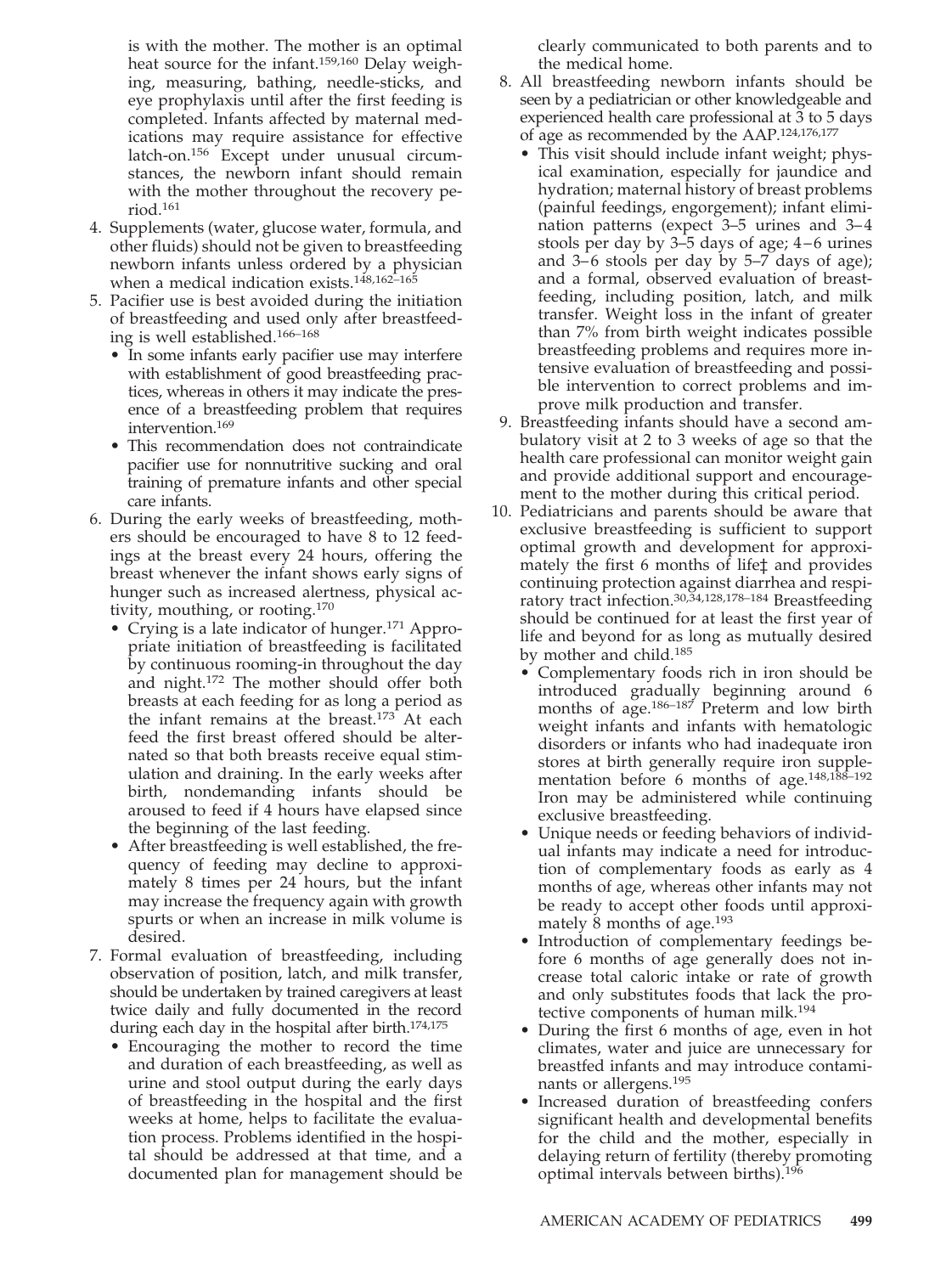is with the mother. The mother is an optimal heat source for the infant.159,160 Delay weighing, measuring, bathing, needle-sticks, and eye prophylaxis until after the first feeding is completed. Infants affected by maternal medications may require assistance for effective latch-on.156 Except under unusual circumstances, the newborn infant should remain with the mother throughout the recovery period.161

- 4. Supplements (water, glucose water, formula, and other fluids) should not be given to breastfeeding newborn infants unless ordered by a physician when a medical indication exists.<sup>148,162-165</sup>
- 5. Pacifier use is best avoided during the initiation of breastfeeding and used only after breastfeeding is well established.166–168
	- In some infants early pacifier use may interfere with establishment of good breastfeeding practices, whereas in others it may indicate the presence of a breastfeeding problem that requires intervention.169
	- This recommendation does not contraindicate pacifier use for nonnutritive sucking and oral training of premature infants and other special care infants.
- 6. During the early weeks of breastfeeding, mothers should be encouraged to have 8 to 12 feedings at the breast every 24 hours, offering the breast whenever the infant shows early signs of hunger such as increased alertness, physical activity, mouthing, or rooting.170
	- Crying is a late indicator of hunger.171 Appropriate initiation of breastfeeding is facilitated by continuous rooming-in throughout the day and night.172 The mother should offer both breasts at each feeding for as long a period as the infant remains at the breast.<sup>173</sup> At each feed the first breast offered should be alternated so that both breasts receive equal stimulation and draining. In the early weeks after birth, nondemanding infants should be aroused to feed if 4 hours have elapsed since the beginning of the last feeding.
	- After breastfeeding is well established, the frequency of feeding may decline to approximately 8 times per 24 hours, but the infant may increase the frequency again with growth spurts or when an increase in milk volume is desired.
- 7. Formal evaluation of breastfeeding, including observation of position, latch, and milk transfer, should be undertaken by trained caregivers at least twice daily and fully documented in the record during each day in the hospital after birth.<sup>174,175</sup>
	- Encouraging the mother to record the time and duration of each breastfeeding, as well as urine and stool output during the early days of breastfeeding in the hospital and the first weeks at home, helps to facilitate the evaluation process. Problems identified in the hospital should be addressed at that time, and a documented plan for management should be

clearly communicated to both parents and to the medical home.

- 8. All breastfeeding newborn infants should be seen by a pediatrician or other knowledgeable and experienced health care professional at 3 to 5 days of age as recommended by the AAP.124,176,177
	- This visit should include infant weight; physical examination, especially for jaundice and hydration; maternal history of breast problems (painful feedings, engorgement); infant elimination patterns (expect 3–5 urines and 3–4 stools per day by  $3-\overline{5}$  days of age;  $4-6$  urines and  $3-6$  stools per day by  $5-7$  days of age); and a formal, observed evaluation of breastfeeding, including position, latch, and milk transfer. Weight loss in the infant of greater than 7% from birth weight indicates possible breastfeeding problems and requires more intensive evaluation of breastfeeding and possible intervention to correct problems and improve milk production and transfer.
- 9. Breastfeeding infants should have a second ambulatory visit at 2 to 3 weeks of age so that the health care professional can monitor weight gain and provide additional support and encouragement to the mother during this critical period.
- 10. Pediatricians and parents should be aware that exclusive breastfeeding is sufficient to support optimal growth and development for approximately the first 6 months of life‡ and provides continuing protection against diarrhea and respiratory tract infection.30,34,128,178–184 Breastfeeding should be continued for at least the first year of life and beyond for as long as mutually desired by mother and child.185
	- Complementary foods rich in iron should be introduced gradually beginning around 6 months of age.<sup>186-187</sup> Preterm and low birth weight infants and infants with hematologic disorders or infants who had inadequate iron stores at birth generally require iron supplementation before 6 months of age.148,188–192 Iron may be administered while continuing exclusive breastfeeding.
	- Unique needs or feeding behaviors of individual infants may indicate a need for introduction of complementary foods as early as 4 months of age, whereas other infants may not be ready to accept other foods until approximately 8 months of age.193
	- Introduction of complementary feedings before 6 months of age generally does not increase total caloric intake or rate of growth and only substitutes foods that lack the protective components of human milk.194
	- During the first 6 months of age, even in hot climates, water and juice are unnecessary for breastfed infants and may introduce contaminants or allergens.195
	- Increased duration of breastfeeding confers significant health and developmental benefits for the child and the mother, especially in delaying return of fertility (thereby promoting optimal intervals between births).196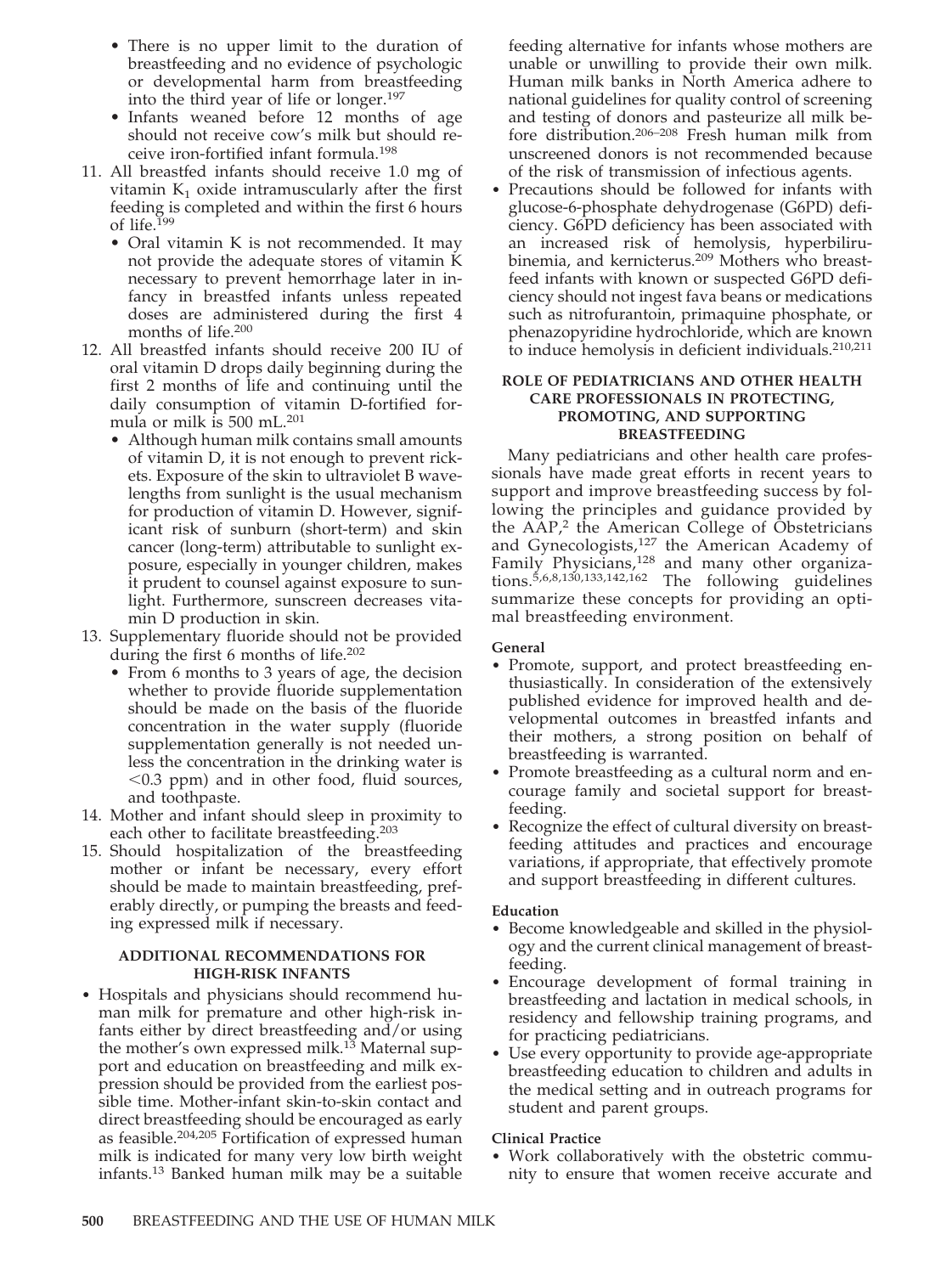- There is no upper limit to the duration of breastfeeding and no evidence of psychologic or developmental harm from breastfeeding into the third year of life or longer.197
- Infants weaned before 12 months of age should not receive cow's milk but should receive iron-fortified infant formula.198
- 11. All breastfed infants should receive 1.0 mg of vitamin  $K_1$  oxide intramuscularly after the first feeding is completed and within the first 6 hours of life.199
	- Oral vitamin K is not recommended. It may not provide the adequate stores of vitamin K necessary to prevent hemorrhage later in infancy in breastfed infants unless repeated doses are administered during the first 4 months of life.200
- 12. All breastfed infants should receive 200 IU of oral vitamin D drops daily beginning during the first 2 months of life and continuing until the daily consumption of vitamin D-fortified formula or milk is 500 mL.201
	- Although human milk contains small amounts of vitamin D, it is not enough to prevent rickets. Exposure of the skin to ultraviolet B wavelengths from sunlight is the usual mechanism for production of vitamin D. However, significant risk of sunburn (short-term) and skin cancer (long-term) attributable to sunlight exposure, especially in younger children, makes it prudent to counsel against exposure to sunlight. Furthermore, sunscreen decreases vitamin D production in skin.
- 13. Supplementary fluoride should not be provided during the first 6 months of life.202
	- From 6 months to 3 years of age, the decision whether to provide fluoride supplementation should be made on the basis of the fluoride concentration in the water supply (fluoride supplementation generally is not needed unless the concentration in the drinking water is 0.3 ppm) and in other food, fluid sources, and toothpaste.
- 14. Mother and infant should sleep in proximity to each other to facilitate breastfeeding.203
- 15. Should hospitalization of the breastfeeding mother or infant be necessary, every effort should be made to maintain breastfeeding, preferably directly, or pumping the breasts and feeding expressed milk if necessary.

### **ADDITIONAL RECOMMENDATIONS FOR HIGH-RISK INFANTS**

• Hospitals and physicians should recommend human milk for premature and other high-risk infants either by direct breastfeeding and/or using the mother's own expressed milk.<sup>13</sup> Maternal support and education on breastfeeding and milk expression should be provided from the earliest possible time. Mother-infant skin-to-skin contact and direct breastfeeding should be encouraged as early as feasible.204,205 Fortification of expressed human milk is indicated for many very low birth weight infants.13 Banked human milk may be a suitable

feeding alternative for infants whose mothers are unable or unwilling to provide their own milk. Human milk banks in North America adhere to national guidelines for quality control of screening and testing of donors and pasteurize all milk before distribution.206–208 Fresh human milk from unscreened donors is not recommended because of the risk of transmission of infectious agents.

• Precautions should be followed for infants with glucose-6-phosphate dehydrogenase (G6PD) deficiency. G6PD deficiency has been associated with an increased risk of hemolysis, hyperbilirubinemia, and kernicterus.209 Mothers who breastfeed infants with known or suspected G6PD deficiency should not ingest fava beans or medications such as nitrofurantoin, primaquine phosphate, or phenazopyridine hydrochloride, which are known to induce hemolysis in deficient individuals.210,211

### **ROLE OF PEDIATRICIANS AND OTHER HEALTH CARE PROFESSIONALS IN PROTECTING, PROMOTING, AND SUPPORTING BREASTFEEDING**

Many pediatricians and other health care professionals have made great efforts in recent years to support and improve breastfeeding success by following the principles and guidance provided by the AAP,<sup>2</sup> the American College of Obstetricians and Gynecologists,<sup>127</sup> the American Academy of Family Physicians,<sup>128</sup> and many other organiza $tions.$ <sup>5,6,8,130,133,142,162</sup> The following guidelines summarize these concepts for providing an optimal breastfeeding environment.

### **General**

- Promote, support, and protect breastfeeding enthusiastically. In consideration of the extensively published evidence for improved health and developmental outcomes in breastfed infants and their mothers, a strong position on behalf of breastfeeding is warranted.
- Promote breastfeeding as a cultural norm and encourage family and societal support for breastfeeding.
- Recognize the effect of cultural diversity on breastfeeding attitudes and practices and encourage variations, if appropriate, that effectively promote and support breastfeeding in different cultures.

### **Education**

- Become knowledgeable and skilled in the physiology and the current clinical management of breastfeeding.
- Encourage development of formal training in breastfeeding and lactation in medical schools, in residency and fellowship training programs, and for practicing pediatricians.
- Use every opportunity to provide age-appropriate breastfeeding education to children and adults in the medical setting and in outreach programs for student and parent groups.

### **Clinical Practice**

• Work collaboratively with the obstetric community to ensure that women receive accurate and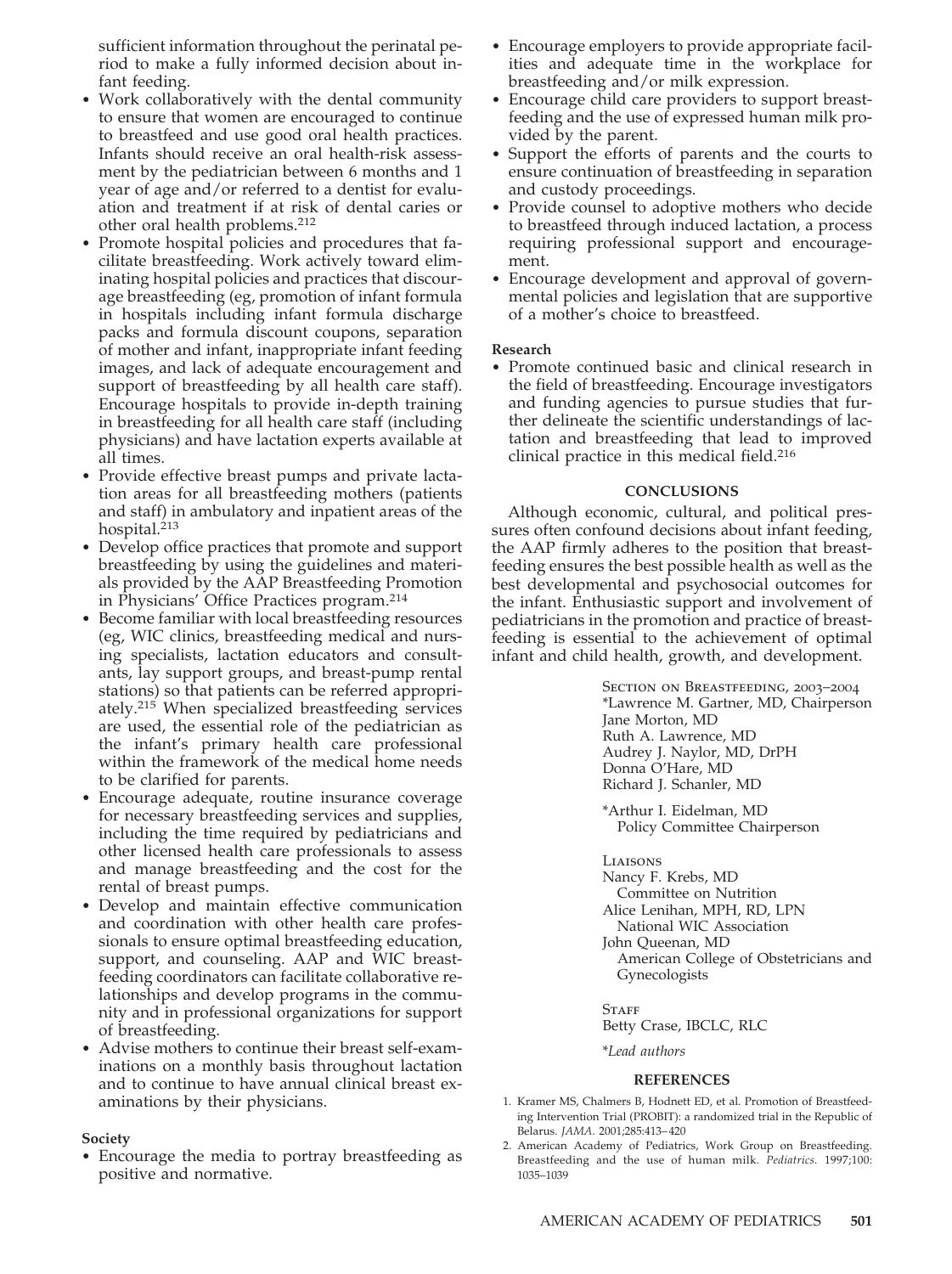sufficient information throughout the perinatal period to make a fully informed decision about infant feeding.

- Work collaboratively with the dental community to ensure that women are encouraged to continue to breastfeed and use good oral health practices. Infants should receive an oral health-risk assessment by the pediatrician between 6 months and 1 year of age and/or referred to a dentist for evaluation and treatment if at risk of dental caries or other oral health problems.212
- Promote hospital policies and procedures that facilitate breastfeeding. Work actively toward eliminating hospital policies and practices that discourage breastfeeding (eg, promotion of infant formula in hospitals including infant formula discharge packs and formula discount coupons, separation of mother and infant, inappropriate infant feeding images, and lack of adequate encouragement and support of breastfeeding by all health care staff). Encourage hospitals to provide in-depth training in breastfeeding for all health care staff (including physicians) and have lactation experts available at all times.
- Provide effective breast pumps and private lactation areas for all breastfeeding mothers (patients and staff) in ambulatory and inpatient areas of the hospital.213
- Develop office practices that promote and support breastfeeding by using the guidelines and materials provided by the AAP Breastfeeding Promotion in Physicians' Office Practices program.214
- Become familiar with local breastfeeding resources (eg, WIC clinics, breastfeeding medical and nursing specialists, lactation educators and consultants, lay support groups, and breast-pump rental stations) so that patients can be referred appropriately.215 When specialized breastfeeding services are used, the essential role of the pediatrician as the infant's primary health care professional within the framework of the medical home needs to be clarified for parents.
- Encourage adequate, routine insurance coverage for necessary breastfeeding services and supplies, including the time required by pediatricians and other licensed health care professionals to assess and manage breastfeeding and the cost for the rental of breast pumps.
- Develop and maintain effective communication and coordination with other health care professionals to ensure optimal breastfeeding education, support, and counseling. AAP and WIC breastfeeding coordinators can facilitate collaborative relationships and develop programs in the community and in professional organizations for support of breastfeeding.
- Advise mothers to continue their breast self-examinations on a monthly basis throughout lactation and to continue to have annual clinical breast examinations by their physicians.

### **Society**

• Encourage the media to portray breastfeeding as positive and normative.

- Encourage employers to provide appropriate facilities and adequate time in the workplace for breastfeeding and/or milk expression.
- Encourage child care providers to support breastfeeding and the use of expressed human milk provided by the parent.
- Support the efforts of parents and the courts to ensure continuation of breastfeeding in separation and custody proceedings.
- Provide counsel to adoptive mothers who decide to breastfeed through induced lactation, a process requiring professional support and encouragement.
- Encourage development and approval of governmental policies and legislation that are supportive of a mother's choice to breastfeed.

## **Research**

• Promote continued basic and clinical research in the field of breastfeeding. Encourage investigators and funding agencies to pursue studies that further delineate the scientific understandings of lactation and breastfeeding that lead to improved clinical practice in this medical field.216

## **CONCLUSIONS**

Although economic, cultural, and political pressures often confound decisions about infant feeding, the AAP firmly adheres to the position that breastfeeding ensures the best possible health as well as the best developmental and psychosocial outcomes for the infant. Enthusiastic support and involvement of pediatricians in the promotion and practice of breastfeeding is essential to the achievement of optimal infant and child health, growth, and development.

> SECTION ON BREASTFEEDING, 2003-2004 \*Lawrence M. Gartner, MD, Chairperson Jane Morton, MD Ruth A. Lawrence, MD Audrey J. Naylor, MD, DrPH Donna O'Hare, MD Richard J. Schanler, MD

\*Arthur I. Eidelman, MD Policy Committee Chairperson

**LIAISONS** Nancy F. Krebs, MD Committee on Nutrition Alice Lenihan, MPH, RD, LPN National WIC Association John Queenan, MD American College of Obstetricians and Gynecologists

**STAFF** Betty Crase, IBCLC, RLC

\**Lead authors*

### **REFERENCES**

- 1. Kramer MS, Chalmers B, Hodnett ED, et al. Promotion of Breastfeeding Intervention Trial (PROBIT): a randomized trial in the Republic of Belarus. *JAMA.* 2001;285:413– 420
- 2. American Academy of Pediatrics, Work Group on Breastfeeding. Breastfeeding and the use of human milk. *Pediatrics.* 1997;100: 1035–1039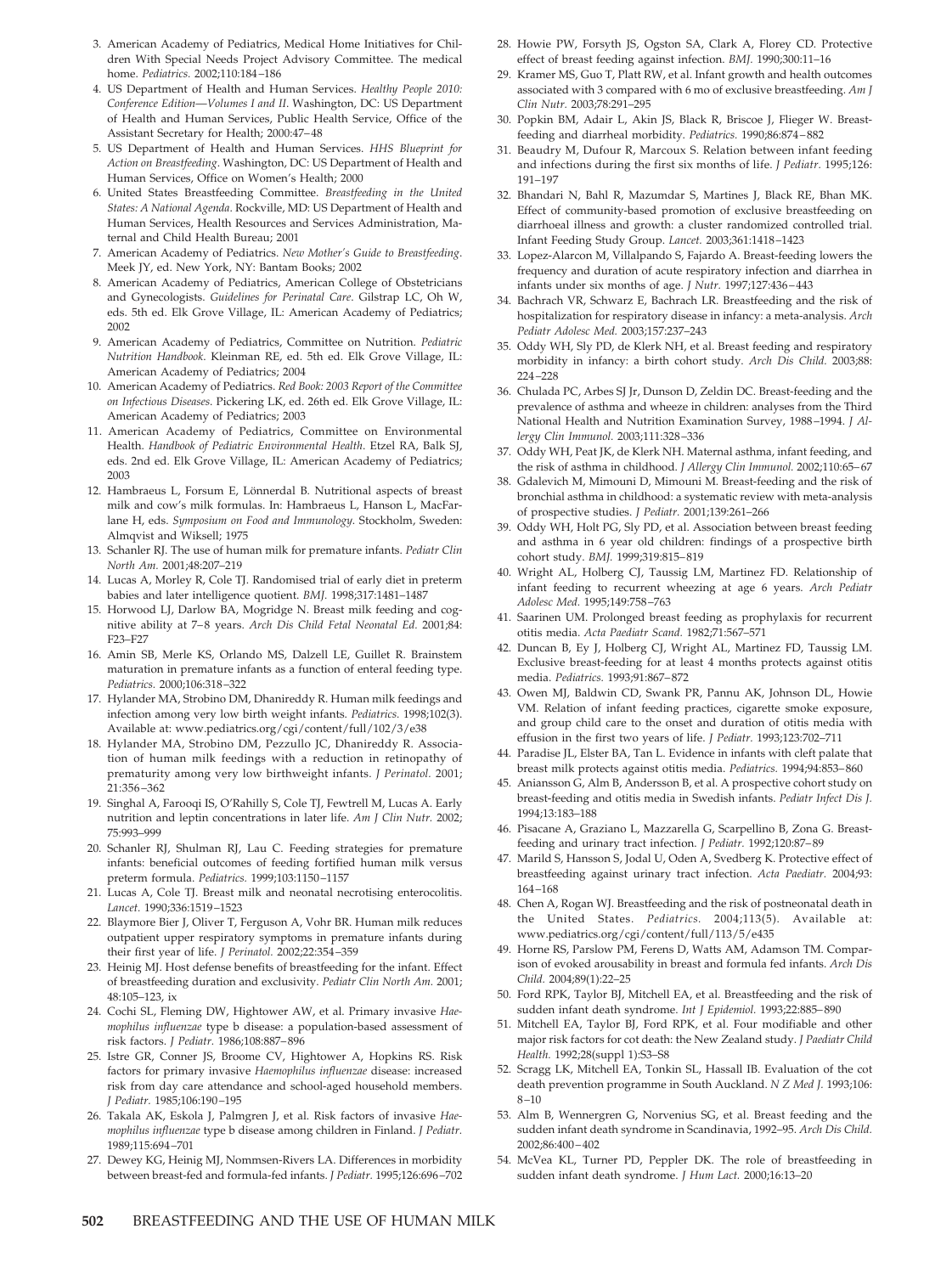- 3. American Academy of Pediatrics, Medical Home Initiatives for Children With Special Needs Project Advisory Committee. The medical home. *Pediatrics.* 2002;110:184 –186
- 4. US Department of Health and Human Services. *Healthy People 2010: Conference Edition*—*Volumes I and II*. Washington, DC: US Department of Health and Human Services, Public Health Service, Office of the Assistant Secretary for Health; 2000:47– 48
- 5. US Department of Health and Human Services. *HHS Blueprint for Action on Breastfeeding*. Washington, DC: US Department of Health and Human Services, Office on Women's Health; 2000
- 6. United States Breastfeeding Committee. *Breastfeeding in the United States: A National Agenda*. Rockville, MD: US Department of Health and Human Services, Health Resources and Services Administration, Maternal and Child Health Bureau; 2001
- 7. American Academy of Pediatrics. *New Mother's Guide to Breastfeeding*. Meek JY, ed. New York, NY: Bantam Books; 2002
- 8. American Academy of Pediatrics, American College of Obstetricians and Gynecologists. *Guidelines for Perinatal Care*. Gilstrap LC, Oh W, eds. 5th ed. Elk Grove Village, IL: American Academy of Pediatrics; 2002
- 9. American Academy of Pediatrics, Committee on Nutrition. *Pediatric Nutrition Handbook*. Kleinman RE, ed. 5th ed. Elk Grove Village, IL: American Academy of Pediatrics; 2004
- 10. American Academy of Pediatrics. *Red Book: 2003 Report of the Committee on Infectious Diseases*. Pickering LK, ed. 26th ed. Elk Grove Village, IL: American Academy of Pediatrics; 2003
- 11. American Academy of Pediatrics, Committee on Environmental Health. *Handbook of Pediatric Environmental Health*. Etzel RA, Balk SJ, eds. 2nd ed. Elk Grove Village, IL: American Academy of Pediatrics; 2003
- 12. Hambraeus L, Forsum E, Lönnerdal B. Nutritional aspects of breast milk and cow's milk formulas. In: Hambraeus L, Hanson L, MacFarlane H, eds. *Symposium on Food and Immunology*. Stockholm, Sweden: Almqvist and Wiksell; 1975
- 13. Schanler RJ. The use of human milk for premature infants. *Pediatr Clin North Am.* 2001;48:207–219
- 14. Lucas A, Morley R, Cole TJ. Randomised trial of early diet in preterm babies and later intelligence quotient. *BMJ.* 1998;317:1481–1487
- 15. Horwood LJ, Darlow BA, Mogridge N. Breast milk feeding and cognitive ability at 7-8 years. *Arch Dis Child Fetal Neonatal Ed.* 2001;84: F23–F27
- 16. Amin SB, Merle KS, Orlando MS, Dalzell LE, Guillet R. Brainstem maturation in premature infants as a function of enteral feeding type. *Pediatrics.* 2000;106:318 –322
- 17. Hylander MA, Strobino DM, Dhanireddy R. Human milk feedings and infection among very low birth weight infants. *Pediatrics.* 1998;102(3). Available at: www.pediatrics.org/cgi/content/full/102/3/e38
- 18. Hylander MA, Strobino DM, Pezzullo JC, Dhanireddy R. Association of human milk feedings with a reduction in retinopathy of prematurity among very low birthweight infants. *J Perinatol.* 2001; 21:356 –362
- 19. Singhal A, Farooqi IS, O'Rahilly S, Cole TJ, Fewtrell M, Lucas A. Early nutrition and leptin concentrations in later life. *Am J Clin Nutr.* 2002; 75:993–999
- 20. Schanler RJ, Shulman RJ, Lau C. Feeding strategies for premature infants: beneficial outcomes of feeding fortified human milk versus preterm formula. *Pediatrics.* 1999;103:1150 –1157
- 21. Lucas A, Cole TJ. Breast milk and neonatal necrotising enterocolitis. *Lancet.* 1990;336:1519 –1523
- 22. Blaymore Bier J, Oliver T, Ferguson A, Vohr BR. Human milk reduces outpatient upper respiratory symptoms in premature infants during their first year of life. *J Perinatol.* 2002;22:354 –359
- 23. Heinig MJ. Host defense benefits of breastfeeding for the infant. Effect of breastfeeding duration and exclusivity. *Pediatr Clin North Am.* 2001; 48:105–123, ix
- 24. Cochi SL, Fleming DW, Hightower AW, et al. Primary invasive *Haemophilus influenzae* type b disease: a population-based assessment of risk factors. *J Pediatr.* 1986;108:887– 896
- 25. Istre GR, Conner JS, Broome CV, Hightower A, Hopkins RS. Risk factors for primary invasive *Haemophilus influenzae* disease: increased risk from day care attendance and school-aged household members. *J Pediatr.* 1985;106:190 –195
- 26. Takala AK, Eskola J, Palmgren J, et al. Risk factors of invasive *Haemophilus influenzae* type b disease among children in Finland. *J Pediatr.* 1989;115:694 –701
- 27. Dewey KG, Heinig MJ, Nommsen-Rivers LA. Differences in morbidity between breast-fed and formula-fed infants. *J Pediatr.* 1995;126:696 –702
- 28. Howie PW, Forsyth JS, Ogston SA, Clark A, Florey CD. Protective effect of breast feeding against infection. *BMJ.* 1990;300:11–16
- 29. Kramer MS, Guo T, Platt RW, et al. Infant growth and health outcomes associated with 3 compared with 6 mo of exclusive breastfeeding. *Am J Clin Nutr.* 2003;78:291–295
- 30. Popkin BM, Adair L, Akin JS, Black R, Briscoe J, Flieger W. Breastfeeding and diarrheal morbidity. *Pediatrics.* 1990;86:874 – 882
- 31. Beaudry M, Dufour R, Marcoux S. Relation between infant feeding and infections during the first six months of life. *J Pediatr.* 1995;126: 191–197
- 32. Bhandari N, Bahl R, Mazumdar S, Martines J, Black RE, Bhan MK. Effect of community-based promotion of exclusive breastfeeding on diarrhoeal illness and growth: a cluster randomized controlled trial. Infant Feeding Study Group. *Lancet.* 2003;361:1418 –1423
- 33. Lopez-Alarcon M, Villalpando S, Fajardo A. Breast-feeding lowers the frequency and duration of acute respiratory infection and diarrhea in infants under six months of age. *J Nutr.* 1997;127:436 – 443
- 34. Bachrach VR, Schwarz E, Bachrach LR. Breastfeeding and the risk of hospitalization for respiratory disease in infancy: a meta-analysis. *Arch Pediatr Adolesc Med.* 2003;157:237–243
- 35. Oddy WH, Sly PD, de Klerk NH, et al. Breast feeding and respiratory morbidity in infancy: a birth cohort study. *Arch Dis Child.* 2003;88: 224 –228
- 36. Chulada PC, Arbes SJ Jr, Dunson D, Zeldin DC. Breast-feeding and the prevalence of asthma and wheeze in children: analyses from the Third National Health and Nutrition Examination Survey, 1988 –1994. *J Allergy Clin Immunol.* 2003;111:328 –336
- 37. Oddy WH, Peat JK, de Klerk NH. Maternal asthma, infant feeding, and the risk of asthma in childhood. *J Allergy Clin Immunol*. 2002;110:65-67
- 38. Gdalevich M, Mimouni D, Mimouni M. Breast-feeding and the risk of bronchial asthma in childhood: a systematic review with meta-analysis of prospective studies. *J Pediatr.* 2001;139:261–266
- 39. Oddy WH, Holt PG, Sly PD, et al. Association between breast feeding and asthma in 6 year old children: findings of a prospective birth cohort study. *BMJ.* 1999;319:815– 819
- 40. Wright AL, Holberg CJ, Taussig LM, Martinez FD. Relationship of infant feeding to recurrent wheezing at age 6 years. *Arch Pediatr Adolesc Med.* 1995;149:758 –763
- 41. Saarinen UM. Prolonged breast feeding as prophylaxis for recurrent otitis media. *Acta Paediatr Scand.* 1982;71:567–571
- 42. Duncan B, Ey J, Holberg CJ, Wright AL, Martinez FD, Taussig LM. Exclusive breast-feeding for at least 4 months protects against otitis media. *Pediatrics.* 1993;91:867– 872
- 43. Owen MJ, Baldwin CD, Swank PR, Pannu AK, Johnson DL, Howie VM. Relation of infant feeding practices, cigarette smoke exposure, and group child care to the onset and duration of otitis media with effusion in the first two years of life. *J Pediatr.* 1993;123:702–711
- 44. Paradise JL, Elster BA, Tan L. Evidence in infants with cleft palate that breast milk protects against otitis media. *Pediatrics.* 1994;94:853– 860
- 45. Aniansson G, Alm B, Andersson B, et al. A prospective cohort study on breast-feeding and otitis media in Swedish infants. *Pediatr Infect Dis J.* 1994;13:183–188
- 46. Pisacane A, Graziano L, Mazzarella G, Scarpellino B, Zona G. Breastfeeding and urinary tract infection. *J Pediatr.* 1992;120:87– 89
- 47. Marild S, Hansson S, Jodal U, Oden A, Svedberg K. Protective effect of breastfeeding against urinary tract infection. *Acta Paediatr.* 2004;93: 164 –168
- 48. Chen A, Rogan WJ. Breastfeeding and the risk of postneonatal death in the United States. *Pediatrics.* 2004;113(5). Available at: www.pediatrics.org/cgi/content/full/113/5/e435
- 49. Horne RS, Parslow PM, Ferens D, Watts AM, Adamson TM. Comparison of evoked arousability in breast and formula fed infants. *Arch Dis Child.* 2004;89(1):22–25
- 50. Ford RPK, Taylor BJ, Mitchell EA, et al. Breastfeeding and the risk of sudden infant death syndrome. *Int J Epidemiol.* 1993;22:885– 890
- 51. Mitchell EA, Taylor BJ, Ford RPK, et al. Four modifiable and other major risk factors for cot death: the New Zealand study. *J Paediatr Child Health.* 1992;28(suppl 1):S3–S8
- 52. Scragg LK, Mitchell EA, Tonkin SL, Hassall IB. Evaluation of the cot death prevention programme in South Auckland. *N Z Med J.* 1993;106:  $8 - 10$
- 53. Alm B, Wennergren G, Norvenius SG, et al. Breast feeding and the sudden infant death syndrome in Scandinavia, 1992–95. *Arch Dis Child.* 2002;86:400 – 402
- 54. McVea KL, Turner PD, Peppler DK. The role of breastfeeding in sudden infant death syndrome. *J Hum Lact.* 2000;16:13–20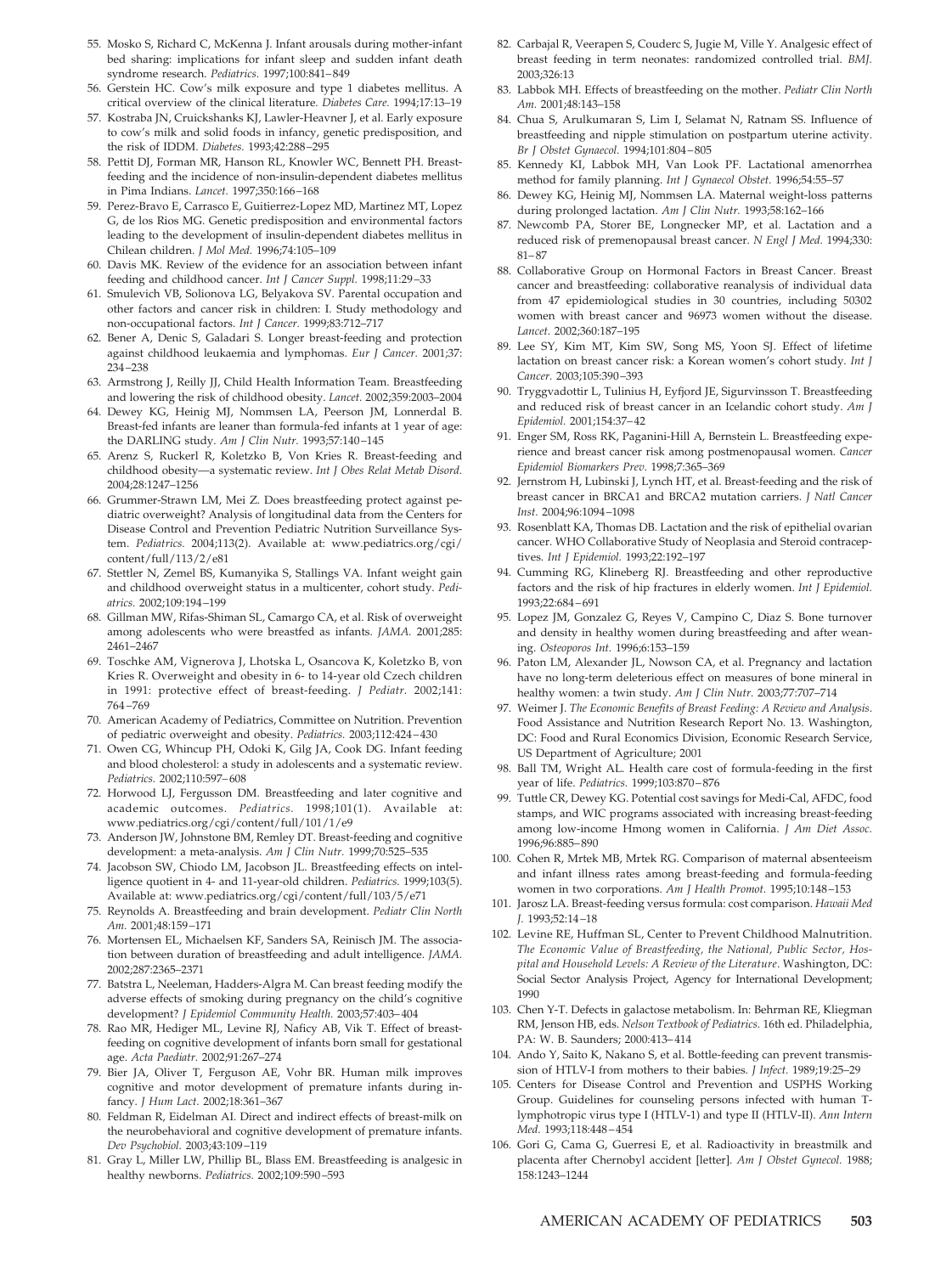- 55. Mosko S, Richard C, McKenna J. Infant arousals during mother-infant bed sharing: implications for infant sleep and sudden infant death syndrome research. *Pediatrics.* 1997;100:841– 849
- 56. Gerstein HC. Cow's milk exposure and type 1 diabetes mellitus. A critical overview of the clinical literature. *Diabetes Care.* 1994;17:13–19
- 57. Kostraba JN, Cruickshanks KJ, Lawler-Heavner J, et al. Early exposure to cow's milk and solid foods in infancy, genetic predisposition, and the risk of IDDM. *Diabetes.* 1993;42:288 –295
- 58. Pettit DJ, Forman MR, Hanson RL, Knowler WC, Bennett PH. Breastfeeding and the incidence of non-insulin-dependent diabetes mellitus in Pima Indians. *Lancet.* 1997;350:166 –168
- 59. Perez-Bravo E, Carrasco E, Guitierrez-Lopez MD, Martinez MT, Lopez G, de los Rios MG. Genetic predisposition and environmental factors leading to the development of insulin-dependent diabetes mellitus in Chilean children. *J Mol Med.* 1996;74:105–109
- 60. Davis MK. Review of the evidence for an association between infant feeding and childhood cancer. *Int J Cancer Suppl.* 1998;11:29 –33
- 61. Smulevich VB, Solionova LG, Belyakova SV. Parental occupation and other factors and cancer risk in children: I. Study methodology and non-occupational factors. *Int J Cancer.* 1999;83:712–717
- 62. Bener A, Denic S, Galadari S. Longer breast-feeding and protection against childhood leukaemia and lymphomas. *Eur J Cancer.* 2001;37: 234 –238
- 63. Armstrong J, Reilly JJ, Child Health Information Team. Breastfeeding and lowering the risk of childhood obesity. *Lancet.* 2002;359:2003–2004
- 64. Dewey KG, Heinig MJ, Nommsen LA, Peerson JM, Lonnerdal B. Breast-fed infants are leaner than formula-fed infants at 1 year of age: the DARLING study. *Am J Clin Nutr.* 1993;57:140 –145
- 65. Arenz S, Ruckerl R, Koletzko B, Von Kries R. Breast-feeding and childhood obesity—a systematic review. *Int J Obes Relat Metab Disord.* 2004;28:1247–1256
- 66. Grummer-Strawn LM, Mei Z. Does breastfeeding protect against pediatric overweight? Analysis of longitudinal data from the Centers for Disease Control and Prevention Pediatric Nutrition Surveillance System. *Pediatrics.* 2004;113(2). Available at: www.pediatrics.org/cgi/ content/full/113/2/e81
- 67. Stettler N, Zemel BS, Kumanyika S, Stallings VA. Infant weight gain and childhood overweight status in a multicenter, cohort study. *Pediatrics.* 2002;109:194 –199
- 68. Gillman MW, Rifas-Shiman SL, Camargo CA, et al. Risk of overweight among adolescents who were breastfed as infants. *JAMA.* 2001;285: 2461–2467
- 69. Toschke AM, Vignerova J, Lhotska L, Osancova K, Koletzko B, von Kries R. Overweight and obesity in 6- to 14-year old Czech children in 1991: protective effect of breast-feeding. *J Pediatr.* 2002;141: 764 –769
- 70. American Academy of Pediatrics, Committee on Nutrition. Prevention of pediatric overweight and obesity. *Pediatrics.* 2003;112:424 – 430
- 71. Owen CG, Whincup PH, Odoki K, Gilg JA, Cook DG. Infant feeding and blood cholesterol: a study in adolescents and a systematic review. *Pediatrics.* 2002;110:597– 608
- 72. Horwood LJ, Fergusson DM. Breastfeeding and later cognitive and academic outcomes. *Pediatrics.* 1998;101(1). Available at: www.pediatrics.org/cgi/content/full/101/1/e9
- 73. Anderson JW, Johnstone BM, Remley DT. Breast-feeding and cognitive development: a meta-analysis. *Am J Clin Nutr.* 1999;70:525–535
- 74. Jacobson SW, Chiodo LM, Jacobson JL. Breastfeeding effects on intelligence quotient in 4- and 11-year-old children. *Pediatrics.* 1999;103(5). Available at: www.pediatrics.org/cgi/content/full/103/5/e71
- 75. Reynolds A. Breastfeeding and brain development. *Pediatr Clin North Am.* 2001;48:159 –171
- 76. Mortensen EL, Michaelsen KF, Sanders SA, Reinisch JM. The association between duration of breastfeeding and adult intelligence. *JAMA.* 2002;287:2365–2371
- 77. Batstra L, Neeleman, Hadders-Algra M. Can breast feeding modify the adverse effects of smoking during pregnancy on the child's cognitive development? *J Epidemiol Community Health.* 2003;57:403– 404
- 78. Rao MR, Hediger ML, Levine RJ, Naficy AB, Vik T. Effect of breastfeeding on cognitive development of infants born small for gestational age. *Acta Paediatr.* 2002;91:267–274
- 79. Bier JA, Oliver T, Ferguson AE, Vohr BR. Human milk improves cognitive and motor development of premature infants during infancy. *J Hum Lact.* 2002;18:361–367
- 80. Feldman R, Eidelman AI. Direct and indirect effects of breast-milk on the neurobehavioral and cognitive development of premature infants. *Dev Psychobiol.* 2003;43:109 –119
- 81. Gray L, Miller LW, Phillip BL, Blass EM. Breastfeeding is analgesic in healthy newborns. *Pediatrics.* 2002;109:590 –593
- 82. Carbajal R, Veerapen S, Couderc S, Jugie M, Ville Y. Analgesic effect of breast feeding in term neonates: randomized controlled trial. *BMJ.* 2003;326:13
- 83. Labbok MH. Effects of breastfeeding on the mother. *Pediatr Clin North Am.* 2001;48:143–158
- 84. Chua S, Arulkumaran S, Lim I, Selamat N, Ratnam SS. Influence of breastfeeding and nipple stimulation on postpartum uterine activity. *Br J Obstet Gynaecol.* 1994;101:804 – 805
- 85. Kennedy KI, Labbok MH, Van Look PF. Lactational amenorrhea method for family planning. *Int J Gynaecol Obstet.* 1996;54:55–57
- 86. Dewey KG, Heinig MJ, Nommsen LA. Maternal weight-loss patterns during prolonged lactation. *Am J Clin Nutr.* 1993;58:162–166
- 87. Newcomb PA, Storer BE, Longnecker MP, et al. Lactation and a reduced risk of premenopausal breast cancer. *N Engl J Med.* 1994;330: 81– 87
- 88. Collaborative Group on Hormonal Factors in Breast Cancer. Breast cancer and breastfeeding: collaborative reanalysis of individual data from 47 epidemiological studies in 30 countries, including 50302 women with breast cancer and 96973 women without the disease. *Lancet.* 2002;360:187–195
- 89. Lee SY, Kim MT, Kim SW, Song MS, Yoon SJ. Effect of lifetime lactation on breast cancer risk: a Korean women's cohort study. *Int J Cancer.* 2003;105:390 –393
- 90. Tryggvadottir L, Tulinius H, Eyfjord JE, Sigurvinsson T. Breastfeeding and reduced risk of breast cancer in an Icelandic cohort study. *Am J Epidemiol.* 2001;154:37– 42
- 91. Enger SM, Ross RK, Paganini-Hill A, Bernstein L. Breastfeeding experience and breast cancer risk among postmenopausal women. *Cancer Epidemiol Biomarkers Prev.* 1998;7:365–369
- 92. Jernstrom H, Lubinski J, Lynch HT, et al. Breast-feeding and the risk of breast cancer in BRCA1 and BRCA2 mutation carriers. *J Natl Cancer Inst.* 2004;96:1094 –1098
- 93. Rosenblatt KA, Thomas DB. Lactation and the risk of epithelial ovarian cancer. WHO Collaborative Study of Neoplasia and Steroid contraceptives. *Int J Epidemiol.* 1993;22:192–197
- 94. Cumming RG, Klineberg RJ. Breastfeeding and other reproductive factors and the risk of hip fractures in elderly women. *Int J Epidemiol.* 1993;22:684 – 691
- 95. Lopez JM, Gonzalez G, Reyes V, Campino C, Diaz S. Bone turnover and density in healthy women during breastfeeding and after weaning. *Osteoporos Int.* 1996;6:153–159
- 96. Paton LM, Alexander JL, Nowson CA, et al. Pregnancy and lactation have no long-term deleterious effect on measures of bone mineral in healthy women: a twin study. *Am J Clin Nutr.* 2003;77:707–714
- 97. Weimer J. *The Economic Benefits of Breast Feeding: A Review and Analysis*. Food Assistance and Nutrition Research Report No. 13. Washington, DC: Food and Rural Economics Division, Economic Research Service, US Department of Agriculture; 2001
- 98. Ball TM, Wright AL. Health care cost of formula-feeding in the first year of life. *Pediatrics.* 1999;103:870 – 876
- 99. Tuttle CR, Dewey KG. Potential cost savings for Medi-Cal, AFDC, food stamps, and WIC programs associated with increasing breast-feeding among low-income Hmong women in California. *J Am Diet Assoc.* 1996;96:885– 890
- 100. Cohen R, Mrtek MB, Mrtek RG. Comparison of maternal absenteeism and infant illness rates among breast-feeding and formula-feeding women in two corporations. *Am J Health Promot.* 1995;10:148 –153
- 101. Jarosz LA. Breast-feeding versus formula: cost comparison. *Hawaii Med J.* 1993;52:14 –18
- 102. Levine RE, Huffman SL, Center to Prevent Childhood Malnutrition. *The Economic Value of Breastfeeding, the National, Public Sector, Hospital and Household Levels: A Review of the Literature*. Washington, DC: Social Sector Analysis Project, Agency for International Development; 1990
- 103. Chen Y-T. Defects in galactose metabolism. In: Behrman RE, Kliegman RM, Jenson HB, eds. *Nelson Textbook of Pediatrics.* 16th ed. Philadelphia, PA: W. B. Saunders; 2000:413– 414
- 104. Ando Y, Saito K, Nakano S, et al. Bottle-feeding can prevent transmission of HTLV-I from mothers to their babies. *J Infect.* 1989;19:25–29
- 105. Centers for Disease Control and Prevention and USPHS Working Group. Guidelines for counseling persons infected with human Tlymphotropic virus type I (HTLV-1) and type II (HTLV-II). *Ann Intern Med.* 1993;118:448 – 454
- 106. Gori G, Cama G, Guerresi E, et al. Radioactivity in breastmilk and placenta after Chernobyl accident [letter]. *Am J Obstet Gynecol.* 1988; 158:1243–1244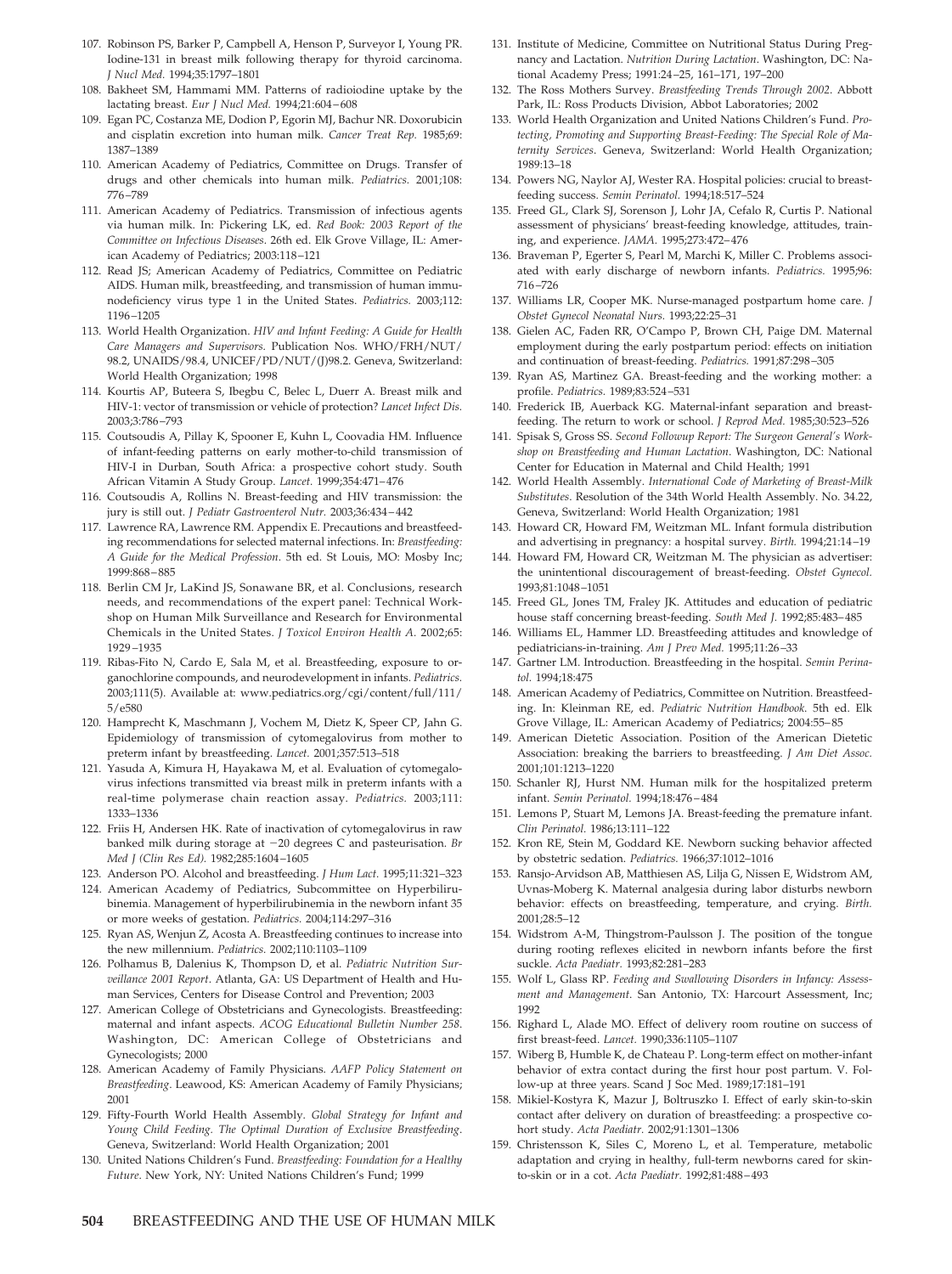- 107. Robinson PS, Barker P, Campbell A, Henson P, Surveyor I, Young PR. Iodine-131 in breast milk following therapy for thyroid carcinoma. *J Nucl Med.* 1994;35:1797–1801
- 108. Bakheet SM, Hammami MM. Patterns of radioiodine uptake by the lactating breast. *Eur J Nucl Med.* 1994;21:604 – 608
- 109. Egan PC, Costanza ME, Dodion P, Egorin MJ, Bachur NR. Doxorubicin and cisplatin excretion into human milk. *Cancer Treat Rep.* 1985;69: 1387–1389
- 110. American Academy of Pediatrics, Committee on Drugs. Transfer of drugs and other chemicals into human milk. *Pediatrics.* 2001;108: 776 –789
- 111. American Academy of Pediatrics. Transmission of infectious agents via human milk. In: Pickering LK, ed. *Red Book: 2003 Report of the Committee on Infectious Diseases*. 26th ed. Elk Grove Village, IL: American Academy of Pediatrics; 2003:118 –121
- 112. Read JS; American Academy of Pediatrics, Committee on Pediatric AIDS. Human milk, breastfeeding, and transmission of human immunodeficiency virus type 1 in the United States. *Pediatrics.* 2003;112: 1196 –1205
- 113. World Health Organization. *HIV and Infant Feeding: A Guide for Health Care Managers and Supervisors*. Publication Nos. WHO/FRH/NUT/ 98.2, UNAIDS/98.4, UNICEF/PD/NUT/(J)98.2. Geneva, Switzerland: World Health Organization; 1998
- 114. Kourtis AP, Buteera S, Ibegbu C, Belec L, Duerr A. Breast milk and HIV-1: vector of transmission or vehicle of protection? *Lancet Infect Dis.* 2003;3:786 –793
- 115. Coutsoudis A, Pillay K, Spooner E, Kuhn L, Coovadia HM. Influence of infant-feeding patterns on early mother-to-child transmission of HIV-I in Durban, South Africa: a prospective cohort study. South African Vitamin A Study Group. *Lancet.* 1999;354:471– 476
- 116. Coutsoudis A, Rollins N. Breast-feeding and HIV transmission: the jury is still out. *J Pediatr Gastroenterol Nutr.* 2003;36:434 – 442
- 117. Lawrence RA, Lawrence RM. Appendix E. Precautions and breastfeeding recommendations for selected maternal infections. In: *Breastfeeding: A Guide for the Medical Profession*. 5th ed. St Louis, MO: Mosby Inc; 1999:868 – 885
- 118. Berlin CM Jr, LaKind JS, Sonawane BR, et al. Conclusions, research needs, and recommendations of the expert panel: Technical Workshop on Human Milk Surveillance and Research for Environmental Chemicals in the United States. *J Toxicol Environ Health A.* 2002;65: 1929 –1935
- 119. Ribas-Fito N, Cardo E, Sala M, et al. Breastfeeding, exposure to organochlorine compounds, and neurodevelopment in infants. *Pediatrics.* 2003;111(5). Available at: www.pediatrics.org/cgi/content/full/111/ 5/e580
- 120. Hamprecht K, Maschmann J, Vochem M, Dietz K, Speer CP, Jahn G. Epidemiology of transmission of cytomegalovirus from mother to preterm infant by breastfeeding. *Lancet.* 2001;357:513–518
- 121. Yasuda A, Kimura H, Hayakawa M, et al. Evaluation of cytomegalovirus infections transmitted via breast milk in preterm infants with a real-time polymerase chain reaction assay. *Pediatrics.* 2003;111: 1333–1336
- 122. Friis H, Andersen HK. Rate of inactivation of cytomegalovirus in raw banked milk during storage at -20 degrees C and pasteurisation. *Br Med J (Clin Res Ed).* 1982;285:1604 –1605
- 123. Anderson PO. Alcohol and breastfeeding. *J Hum Lact.* 1995;11:321–323
- 124. American Academy of Pediatrics, Subcommittee on Hyperbilirubinemia. Management of hyperbilirubinemia in the newborn infant 35 or more weeks of gestation. *Pediatrics.* 2004;114:297–316
- 125. Ryan AS, Wenjun Z, Acosta A. Breastfeeding continues to increase into the new millennium. *Pediatrics.* 2002;110:1103–1109
- 126. Polhamus B, Dalenius K, Thompson D, et al. *Pediatric Nutrition Surveillance 2001 Report*. Atlanta, GA: US Department of Health and Human Services, Centers for Disease Control and Prevention; 2003
- 127. American College of Obstetricians and Gynecologists. Breastfeeding: maternal and infant aspects. *ACOG Educational Bulletin Number 258*. Washington, DC: American College of Obstetricians and Gynecologists; 2000
- 128. American Academy of Family Physicians. *AAFP Policy Statement on Breastfeeding*. Leawood, KS: American Academy of Family Physicians; 2001
- 129. Fifty-Fourth World Health Assembly. *Global Strategy for Infant and Young Child Feeding. The Optimal Duration of Exclusive Breastfeeding*. Geneva, Switzerland: World Health Organization; 2001
- 130. United Nations Children's Fund. *Breastfeeding: Foundation for a Healthy Future*. New York, NY: United Nations Children's Fund; 1999
- 131. Institute of Medicine, Committee on Nutritional Status During Pregnancy and Lactation. *Nutrition During Lactation*. Washington, DC: National Academy Press; 1991:24 –25, 161–171, 197–200
- 132. The Ross Mothers Survey. *Breastfeeding Trends Through 2002*. Abbott Park, IL: Ross Products Division, Abbot Laboratories; 2002
- 133. World Health Organization and United Nations Children's Fund. *Protecting, Promoting and Supporting Breast-Feeding: The Special Role of Maternity Services*. Geneva, Switzerland: World Health Organization; 1989:13–18
- 134. Powers NG, Naylor AJ, Wester RA. Hospital policies: crucial to breastfeeding success. *Semin Perinatol.* 1994;18:517–524
- 135. Freed GL, Clark SJ, Sorenson J, Lohr JA, Cefalo R, Curtis P. National assessment of physicians' breast-feeding knowledge, attitudes, training, and experience. *JAMA.* 1995;273:472– 476
- 136. Braveman P, Egerter S, Pearl M, Marchi K, Miller C. Problems associated with early discharge of newborn infants. *Pediatrics.* 1995;96: 716 –726
- 137. Williams LR, Cooper MK. Nurse-managed postpartum home care. *J Obstet Gynecol Neonatal Nurs.* 1993;22:25–31
- 138. Gielen AC, Faden RR, O'Campo P, Brown CH, Paige DM. Maternal employment during the early postpartum period: effects on initiation and continuation of breast-feeding. *Pediatrics.* 1991;87:298 –305
- 139. Ryan AS, Martinez GA. Breast-feeding and the working mother: a profile. *Pediatrics.* 1989;83:524 –531
- 140. Frederick IB, Auerback KG. Maternal-infant separation and breastfeeding. The return to work or school. *J Reprod Med.* 1985;30:523–526
- 141. Spisak S, Gross SS. *Second Followup Report: The Surgeon General's Workshop on Breastfeeding and Human Lactation*. Washington, DC: National Center for Education in Maternal and Child Health; 1991
- 142. World Health Assembly. *International Code of Marketing of Breast-Milk Substitutes*. Resolution of the 34th World Health Assembly. No. 34.22, Geneva, Switzerland: World Health Organization; 1981
- 143. Howard CR, Howard FM, Weitzman ML. Infant formula distribution and advertising in pregnancy: a hospital survey. *Birth.* 1994;21:14 –19
- 144. Howard FM, Howard CR, Weitzman M. The physician as advertiser: the unintentional discouragement of breast-feeding. *Obstet Gynecol.* 1993;81:1048 –1051
- 145. Freed GL, Jones TM, Fraley JK. Attitudes and education of pediatric house staff concerning breast-feeding. *South Med J.* 1992;85:483– 485
- 146. Williams EL, Hammer LD. Breastfeeding attitudes and knowledge of pediatricians-in-training. *Am J Prev Med.* 1995;11:26 –33
- 147. Gartner LM. Introduction. Breastfeeding in the hospital. *Semin Perinatol.* 1994;18:475
- 148. American Academy of Pediatrics, Committee on Nutrition. Breastfeeding. In: Kleinman RE, ed. *Pediatric Nutrition Handbook*. 5th ed. Elk Grove Village, IL: American Academy of Pediatrics; 2004:55– 85
- 149. American Dietetic Association. Position of the American Dietetic Association: breaking the barriers to breastfeeding. *J Am Diet Assoc.* 2001;101:1213–1220
- 150. Schanler RJ, Hurst NM. Human milk for the hospitalized preterm infant. *Semin Perinatol.* 1994;18:476 – 484
- 151. Lemons P, Stuart M, Lemons JA. Breast-feeding the premature infant. *Clin Perinatol.* 1986;13:111–122
- 152. Kron RE, Stein M, Goddard KE. Newborn sucking behavior affected by obstetric sedation. *Pediatrics.* 1966;37:1012–1016
- 153. Ransjo-Arvidson AB, Matthiesen AS, Lilja G, Nissen E, Widstrom AM, Uvnas-Moberg K. Maternal analgesia during labor disturbs newborn behavior: effects on breastfeeding, temperature, and crying. *Birth.* 2001;28:5–12
- 154. Widstrom A-M, Thingstrom-Paulsson J. The position of the tongue during rooting reflexes elicited in newborn infants before the first suckle. *Acta Paediatr.* 1993;82:281–283
- 155. Wolf L, Glass RP. *Feeding and Swallowing Disorders in Infancy: Assessment and Management*. San Antonio, TX: Harcourt Assessment, Inc; 1992
- 156. Righard L, Alade MO. Effect of delivery room routine on success of first breast-feed. *Lancet.* 1990;336:1105–1107
- 157. Wiberg B, Humble K, de Chateau P. Long-term effect on mother-infant behavior of extra contact during the first hour post partum. V. Follow-up at three years. Scand J Soc Med. 1989;17:181–191
- 158. Mikiel-Kostyra K, Mazur J, Boltruszko I. Effect of early skin-to-skin contact after delivery on duration of breastfeeding: a prospective cohort study. *Acta Paediatr.* 2002;91:1301–1306
- 159. Christensson K, Siles C, Moreno L, et al. Temperature, metabolic adaptation and crying in healthy, full-term newborns cared for skinto-skin or in a cot. *Acta Paediatr.* 1992;81:488 – 493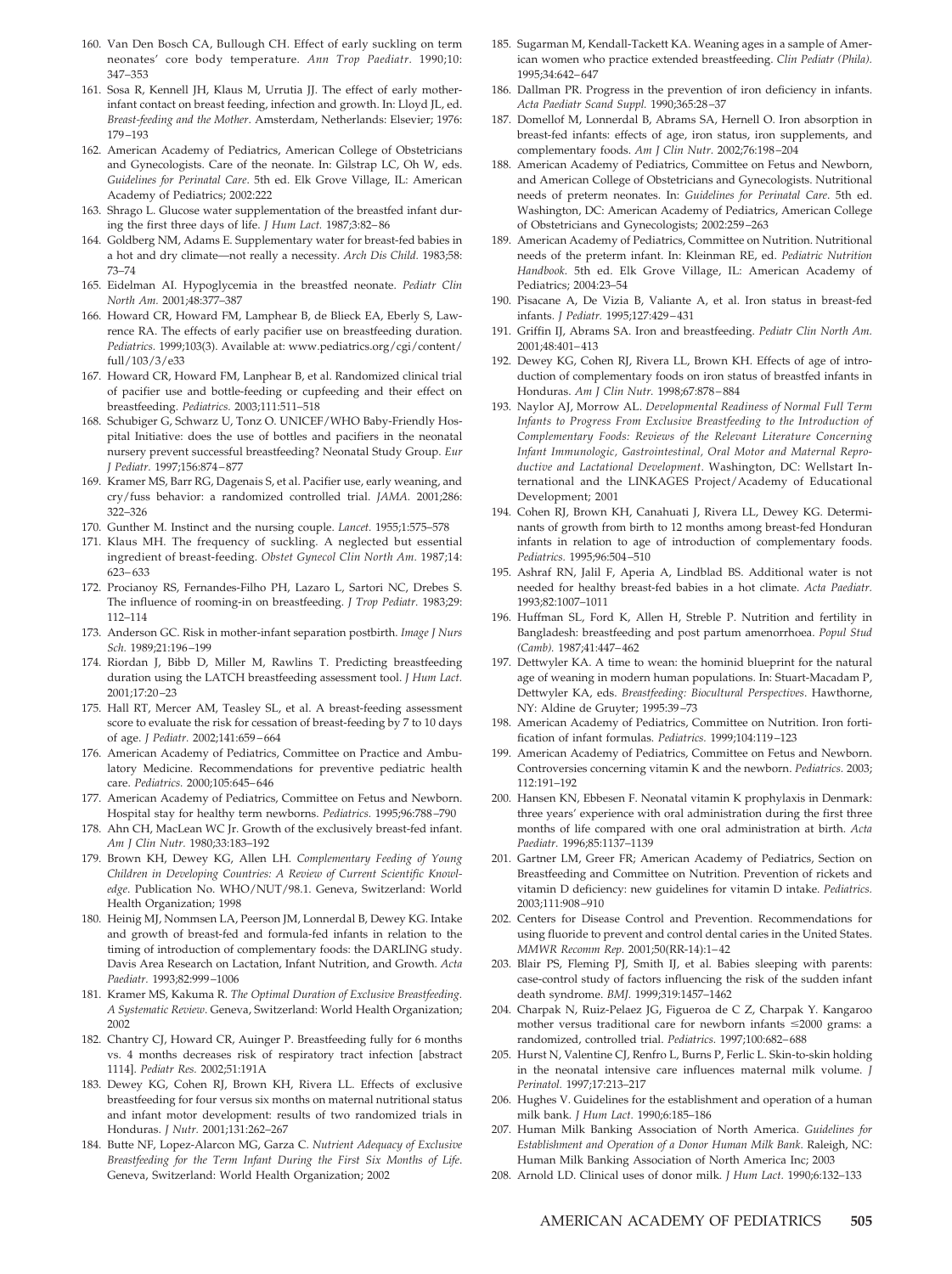- 160. Van Den Bosch CA, Bullough CH. Effect of early suckling on term neonates' core body temperature. *Ann Trop Paediatr.* 1990;10: 347–353
- 161. Sosa R, Kennell JH, Klaus M, Urrutia JJ. The effect of early motherinfant contact on breast feeding, infection and growth. In: Lloyd JL, ed. *Breast-feeding and the Mother*. Amsterdam, Netherlands: Elsevier; 1976: 179 –193
- 162. American Academy of Pediatrics, American College of Obstetricians and Gynecologists. Care of the neonate. In: Gilstrap LC, Oh W, eds. *Guidelines for Perinatal Care*. 5th ed. Elk Grove Village, IL: American Academy of Pediatrics; 2002:222
- 163. Shrago L. Glucose water supplementation of the breastfed infant during the first three days of life. *J Hum Lact.* 1987;3:82– 86
- 164. Goldberg NM, Adams E. Supplementary water for breast-fed babies in a hot and dry climate—not really a necessity. *Arch Dis Child.* 1983;58: 73–74
- 165. Eidelman AI. Hypoglycemia in the breastfed neonate. *Pediatr Clin North Am.* 2001;48:377–387
- 166. Howard CR, Howard FM, Lamphear B, de Blieck EA, Eberly S, Lawrence RA. The effects of early pacifier use on breastfeeding duration. *Pediatrics.* 1999;103(3). Available at: www.pediatrics.org/cgi/content/ full/103/3/e33
- 167. Howard CR, Howard FM, Lanphear B, et al. Randomized clinical trial of pacifier use and bottle-feeding or cupfeeding and their effect on breastfeeding. *Pediatrics.* 2003;111:511–518
- 168. Schubiger G, Schwarz U, Tonz O. UNICEF/WHO Baby-Friendly Hospital Initiative: does the use of bottles and pacifiers in the neonatal nursery prevent successful breastfeeding? Neonatal Study Group. *Eur J Pediatr.* 1997;156:874 – 877
- 169. Kramer MS, Barr RG, Dagenais S, et al. Pacifier use, early weaning, and cry/fuss behavior: a randomized controlled trial. *JAMA.* 2001;286: 322–326
- 170. Gunther M. Instinct and the nursing couple. *Lancet.* 1955;1:575–578
- 171. Klaus MH. The frequency of suckling. A neglected but essential ingredient of breast-feeding. *Obstet Gynecol Clin North Am.* 1987;14: 623– 633
- 172. Procianoy RS, Fernandes-Filho PH, Lazaro L, Sartori NC, Drebes S. The influence of rooming-in on breastfeeding. *J Trop Pediatr.* 1983;29: 112–114
- 173. Anderson GC. Risk in mother-infant separation postbirth. *Image J Nurs Sch.* 1989;21:196 –199
- 174. Riordan J, Bibb D, Miller M, Rawlins T. Predicting breastfeeding duration using the LATCH breastfeeding assessment tool. *J Hum Lact.* 2001;17:20 –23
- 175. Hall RT, Mercer AM, Teasley SL, et al. A breast-feeding assessment score to evaluate the risk for cessation of breast-feeding by 7 to 10 days of age. *J Pediatr.* 2002;141:659 – 664
- 176. American Academy of Pediatrics, Committee on Practice and Ambulatory Medicine. Recommendations for preventive pediatric health care. *Pediatrics.* 2000;105:645– 646
- 177. American Academy of Pediatrics, Committee on Fetus and Newborn. Hospital stay for healthy term newborns. *Pediatrics.* 1995;96:788 –790
- 178. Ahn CH, MacLean WC Jr. Growth of the exclusively breast-fed infant. *Am J Clin Nutr.* 1980;33:183–192
- 179. Brown KH, Dewey KG, Allen LH. *Complementary Feeding of Young Children in Developing Countries: A Review of Current Scientific Knowledge*. Publication No. WHO/NUT/98.1. Geneva, Switzerland: World Health Organization; 1998
- 180. Heinig MJ, Nommsen LA, Peerson JM, Lonnerdal B, Dewey KG. Intake and growth of breast-fed and formula-fed infants in relation to the timing of introduction of complementary foods: the DARLING study. Davis Area Research on Lactation, Infant Nutrition, and Growth. *Acta Paediatr.* 1993;82:999 –1006
- 181. Kramer MS, Kakuma R. *The Optimal Duration of Exclusive Breastfeeding. A Systematic Review*. Geneva, Switzerland: World Health Organization; 2002
- 182. Chantry CJ, Howard CR, Auinger P. Breastfeeding fully for 6 months vs. 4 months decreases risk of respiratory tract infection [abstract 1114]. *Pediatr Res.* 2002;51:191A
- 183. Dewey KG, Cohen RJ, Brown KH, Rivera LL. Effects of exclusive breastfeeding for four versus six months on maternal nutritional status and infant motor development: results of two randomized trials in Honduras. *J Nutr.* 2001;131:262–267
- 184. Butte NF, Lopez-Alarcon MG, Garza C. *Nutrient Adequacy of Exclusive Breastfeeding for the Term Infant During the First Six Months of Life*. Geneva, Switzerland: World Health Organization; 2002
- 185. Sugarman M, Kendall-Tackett KA. Weaning ages in a sample of American women who practice extended breastfeeding. *Clin Pediatr (Phila).* 1995;34:642– 647
- 186. Dallman PR. Progress in the prevention of iron deficiency in infants. *Acta Paediatr Scand Suppl.* 1990;365:28 –37
- 187. Domellof M, Lonnerdal B, Abrams SA, Hernell O. Iron absorption in breast-fed infants: effects of age, iron status, iron supplements, and complementary foods. *Am J Clin Nutr.* 2002;76:198 –204
- 188. American Academy of Pediatrics, Committee on Fetus and Newborn, and American College of Obstetricians and Gynecologists. Nutritional needs of preterm neonates. In: *Guidelines for Perinatal Care*. 5th ed. Washington, DC: American Academy of Pediatrics, American College of Obstetricians and Gynecologists; 2002:259 –263
- 189. American Academy of Pediatrics, Committee on Nutrition. Nutritional needs of the preterm infant. In: Kleinman RE, ed. *Pediatric Nutrition Handbook*. 5th ed. Elk Grove Village, IL: American Academy of Pediatrics; 2004:23–54
- 190. Pisacane A, De Vizia B, Valiante A, et al. Iron status in breast-fed infants. *J Pediatr.* 1995;127:429 – 431
- 191. Griffin IJ, Abrams SA. Iron and breastfeeding. *Pediatr Clin North Am.* 2001;48:401– 413
- 192. Dewey KG, Cohen RJ, Rivera LL, Brown KH. Effects of age of introduction of complementary foods on iron status of breastfed infants in Honduras. *Am J Clin Nutr.* 1998;67:878 – 884
- 193. Naylor AJ, Morrow AL. *Developmental Readiness of Normal Full Term Infants to Progress From Exclusive Breastfeeding to the Introduction of Complementary Foods: Reviews of the Relevant Literature Concerning Infant Immunologic, Gastrointestinal, Oral Motor and Maternal Reproductive and Lactational Development*. Washington, DC: Wellstart International and the LINKAGES Project/Academy of Educational Development; 2001
- 194. Cohen RJ, Brown KH, Canahuati J, Rivera LL, Dewey KG. Determinants of growth from birth to 12 months among breast-fed Honduran infants in relation to age of introduction of complementary foods. *Pediatrics.* 1995;96:504 –510
- 195. Ashraf RN, Jalil F, Aperia A, Lindblad BS. Additional water is not needed for healthy breast-fed babies in a hot climate. *Acta Paediatr.* 1993;82:1007–1011
- 196. Huffman SL, Ford K, Allen H, Streble P. Nutrition and fertility in Bangladesh: breastfeeding and post partum amenorrhoea. *Popul Stud (Camb).* 1987;41:447– 462
- 197. Dettwyler KA. A time to wean: the hominid blueprint for the natural age of weaning in modern human populations. In: Stuart-Macadam P, Dettwyler KA, eds. *Breastfeeding: Biocultural Perspectives*. Hawthorne, NY: Aldine de Gruyter; 1995:39 –73
- 198. American Academy of Pediatrics, Committee on Nutrition. Iron fortification of infant formulas. *Pediatrics.* 1999;104:119 –123
- 199. American Academy of Pediatrics, Committee on Fetus and Newborn. Controversies concerning vitamin K and the newborn. *Pediatrics.* 2003; 112:191–192
- 200. Hansen KN, Ebbesen F. Neonatal vitamin K prophylaxis in Denmark: three years' experience with oral administration during the first three months of life compared with one oral administration at birth. *Acta Paediatr.* 1996;85:1137–1139
- 201. Gartner LM, Greer FR; American Academy of Pediatrics, Section on Breastfeeding and Committee on Nutrition. Prevention of rickets and vitamin D deficiency: new guidelines for vitamin D intake. *Pediatrics.* 2003;111:908 –910
- 202. Centers for Disease Control and Prevention. Recommendations for using fluoride to prevent and control dental caries in the United States. *MMWR Recomm Rep.* 2001;50(RR-14):1– 42
- 203. Blair PS, Fleming PJ, Smith IJ, et al. Babies sleeping with parents: case-control study of factors influencing the risk of the sudden infant death syndrome. *BMJ.* 1999;319:1457–1462
- 204. Charpak N, Ruiz-Pelaez JG, Figueroa de C Z, Charpak Y. Kangaroo mother versus traditional care for newborn infants  $\leq 2000$  grams: a randomized, controlled trial. *Pediatrics.* 1997;100:682– 688
- 205. Hurst N, Valentine CJ, Renfro L, Burns P, Ferlic L. Skin-to-skin holding in the neonatal intensive care influences maternal milk volume. *J Perinatol.* 1997;17:213–217
- 206. Hughes V. Guidelines for the establishment and operation of a human milk bank. *J Hum Lact.* 1990;6:185–186
- 207. Human Milk Banking Association of North America. *Guidelines for Establishment and Operation of a Donor Human Milk Bank*. Raleigh, NC: Human Milk Banking Association of North America Inc; 2003
- 208. Arnold LD. Clinical uses of donor milk. *J Hum Lact.* 1990;6:132–133